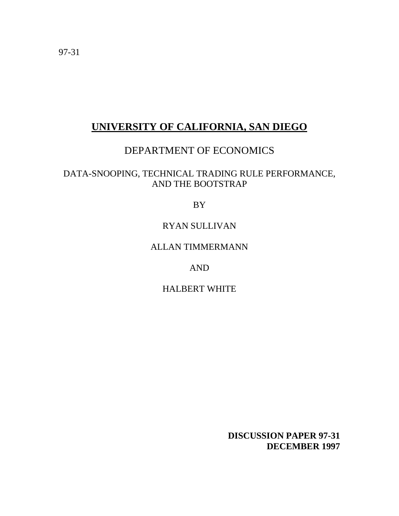# **UNIVERSITY OF CALIFORNIA, SAN DIEGO**

# DEPARTMENT OF ECONOMICS

# DATA-SNOOPING, TECHNICAL TRADING RULE PERFORMANCE, AND THE BOOTSTRAP

BY

# RYAN SULLIVAN

# ALLAN TIMMERMANN

# AND

# HALBERT WHITE

**DISCUSSION PAPER 97-31 DECEMBER 1997**

97-31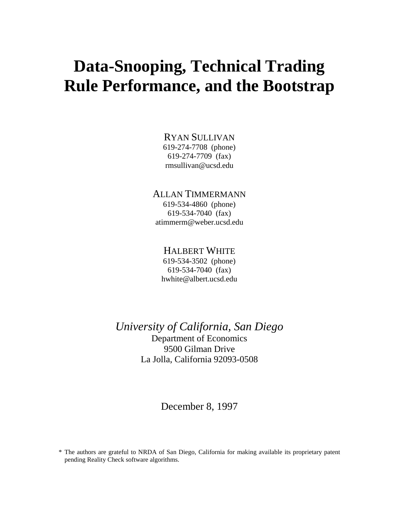# **Data-Snooping, Technical Trading Rule Performance, and the Bootstrap**

RYAN SULLIVAN 619-274-7708 (phone) 619-274-7709 (fax) rmsullivan@ucsd.edu

ALLAN TIMMERMANN

619-534-4860 (phone) 619-534-7040 (fax) atimmerm@weber.ucsd.edu

# HALBERT WHITE

619-534-3502 (phone) 619-534-7040 (fax) hwhite@albert.ucsd.edu

*University of California, San Diego* Department of Economics

9500 Gilman Drive La Jolla, California 92093-0508

December 8, 1997

<sup>\*</sup> The authors are grateful to NRDA of San Diego, California for making available its proprietary patent pending Reality Check software algorithms.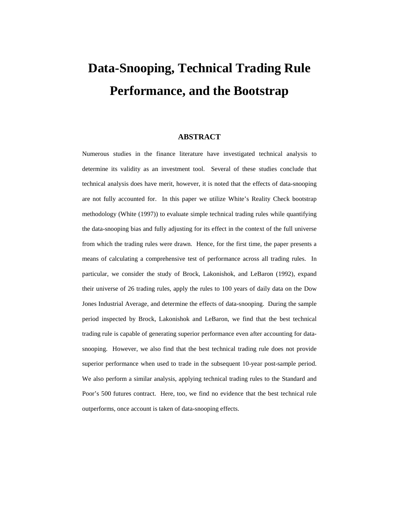# **Data-Snooping, Technical Trading Rule Performance, and the Bootstrap**

#### **ABSTRACT**

Numerous studies in the finance literature have investigated technical analysis to determine its validity as an investment tool. Several of these studies conclude that technical analysis does have merit, however, it is noted that the effects of data-snooping are not fully accounted for. In this paper we utilize White's Reality Check bootstrap methodology (White (1997)) to evaluate simple technical trading rules while quantifying the data-snooping bias and fully adjusting for its effect in the context of the full universe from which the trading rules were drawn. Hence, for the first time, the paper presents a means of calculating a comprehensive test of performance across all trading rules. In particular, we consider the study of Brock, Lakonishok, and LeBaron (1992), expand their universe of 26 trading rules, apply the rules to 100 years of daily data on the Dow Jones Industrial Average, and determine the effects of data-snooping. During the sample period inspected by Brock, Lakonishok and LeBaron, we find that the best technical trading rule is capable of generating superior performance even after accounting for datasnooping. However, we also find that the best technical trading rule does not provide superior performance when used to trade in the subsequent 10-year post-sample period. We also perform a similar analysis, applying technical trading rules to the Standard and Poor's 500 futures contract. Here, too, we find no evidence that the best technical rule outperforms, once account is taken of data-snooping effects.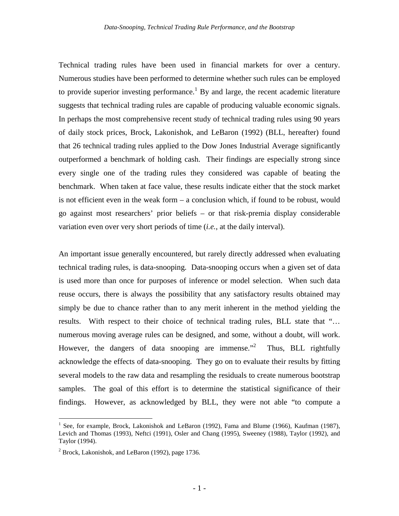Technical trading rules have been used in financial markets for over a century. Numerous studies have been performed to determine whether such rules can be employed to provide superior investing performance.<sup>1</sup> By and large, the recent academic literature suggests that technical trading rules are capable of producing valuable economic signals. In perhaps the most comprehensive recent study of technical trading rules using 90 years of daily stock prices, Brock, Lakonishok, and LeBaron (1992) (BLL, hereafter) found that 26 technical trading rules applied to the Dow Jones Industrial Average significantly outperformed a benchmark of holding cash. Their findings are especially strong since every single one of the trading rules they considered was capable of beating the benchmark. When taken at face value, these results indicate either that the stock market is not efficient even in the weak form – a conclusion which, if found to be robust, would go against most researchers' prior beliefs – or that risk-premia display considerable variation even over very short periods of time (*i.e.*, at the daily interval).

An important issue generally encountered, but rarely directly addressed when evaluating technical trading rules, is data-snooping. Data-snooping occurs when a given set of data is used more than once for purposes of inference or model selection. When such data reuse occurs, there is always the possibility that any satisfactory results obtained may simply be due to chance rather than to any merit inherent in the method yielding the results. With respect to their choice of technical trading rules, BLL state that "… numerous moving average rules can be designed, and some, without a doubt, will work. However, the dangers of data snooping are immense."<sup>2</sup> Thus, BLL rightfully acknowledge the effects of data-snooping. They go on to evaluate their results by fitting several models to the raw data and resampling the residuals to create numerous bootstrap samples. The goal of this effort is to determine the statistical significance of their findings. However, as acknowledged by BLL, they were not able "to compute a

 $\overline{a}$ 

<sup>&</sup>lt;sup>1</sup> See, for example, Brock, Lakonishok and LeBaron (1992), Fama and Blume (1966), Kaufman (1987), Levich and Thomas (1993), Neftci (1991), Osler and Chang (1995), Sweeney (1988), Taylor (1992), and Taylor (1994).

 $^{2}$  Brock, Lakonishok, and LeBaron (1992), page 1736.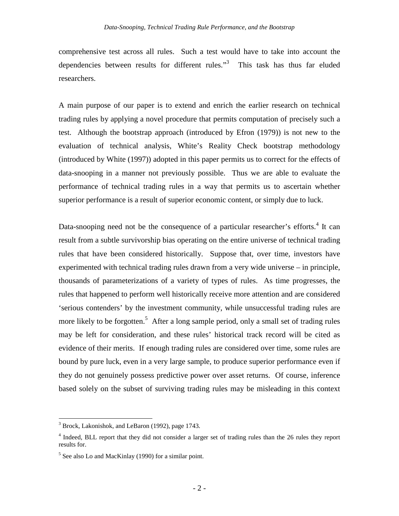comprehensive test across all rules. Such a test would have to take into account the dependencies between results for different rules."<sup>3</sup> This task has thus far eluded researchers.

A main purpose of our paper is to extend and enrich the earlier research on technical trading rules by applying a novel procedure that permits computation of precisely such a test. Although the bootstrap approach (introduced by Efron (1979)) is not new to the evaluation of technical analysis, White's Reality Check bootstrap methodology (introduced by White (1997)) adopted in this paper permits us to correct for the effects of data-snooping in a manner not previously possible. Thus we are able to evaluate the performance of technical trading rules in a way that permits us to ascertain whether superior performance is a result of superior economic content, or simply due to luck.

Data-snooping need not be the consequence of a particular researcher's efforts.<sup>4</sup> It can result from a subtle survivorship bias operating on the entire universe of technical trading rules that have been considered historically. Suppose that, over time, investors have experimented with technical trading rules drawn from a very wide universe – in principle, thousands of parameterizations of a variety of types of rules. As time progresses, the rules that happened to perform well historically receive more attention and are considered 'serious contenders' by the investment community, while unsuccessful trading rules are more likely to be forgotten.<sup>5</sup> After a long sample period, only a small set of trading rules may be left for consideration, and these rules' historical track record will be cited as evidence of their merits. If enough trading rules are considered over time, some rules are bound by pure luck, even in a very large sample, to produce superior performance even if they do not genuinely possess predictive power over asset returns. Of course, inference based solely on the subset of surviving trading rules may be misleading in this context

 $\overline{a}$ 

<sup>3</sup> Brock, Lakonishok, and LeBaron (1992), page 1743.

<sup>&</sup>lt;sup>4</sup> Indeed, BLL report that they did not consider a larger set of trading rules than the 26 rules they report results for.

 $<sup>5</sup>$  See also Lo and MacKinlay (1990) for a similar point.</sup>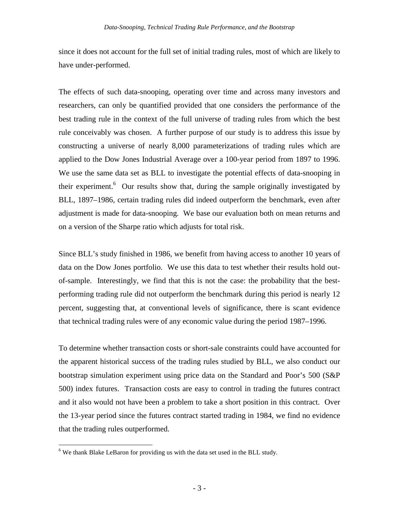since it does not account for the full set of initial trading rules, most of which are likely to have under-performed.

The effects of such data-snooping, operating over time and across many investors and researchers, can only be quantified provided that one considers the performance of the best trading rule in the context of the full universe of trading rules from which the best rule conceivably was chosen. A further purpose of our study is to address this issue by constructing a universe of nearly 8,000 parameterizations of trading rules which are applied to the Dow Jones Industrial Average over a 100-year period from 1897 to 1996. We use the same data set as BLL to investigate the potential effects of data-snooping in their experiment.<sup>6</sup> Our results show that, during the sample originally investigated by BLL, 1897–1986, certain trading rules did indeed outperform the benchmark, even after adjustment is made for data-snooping. We base our evaluation both on mean returns and on a version of the Sharpe ratio which adjusts for total risk.

Since BLL's study finished in 1986, we benefit from having access to another 10 years of data on the Dow Jones portfolio. We use this data to test whether their results hold outof-sample. Interestingly, we find that this is not the case: the probability that the bestperforming trading rule did not outperform the benchmark during this period is nearly 12 percent, suggesting that, at conventional levels of significance, there is scant evidence that technical trading rules were of any economic value during the period 1987–1996.

To determine whether transaction costs or short-sale constraints could have accounted for the apparent historical success of the trading rules studied by BLL, we also conduct our bootstrap simulation experiment using price data on the Standard and Poor's 500 (S&P 500) index futures. Transaction costs are easy to control in trading the futures contract and it also would not have been a problem to take a short position in this contract. Over the 13-year period since the futures contract started trading in 1984, we find no evidence that the trading rules outperformed.

 $\overline{a}$  $6$  We thank Blake LeBaron for providing us with the data set used in the BLL study.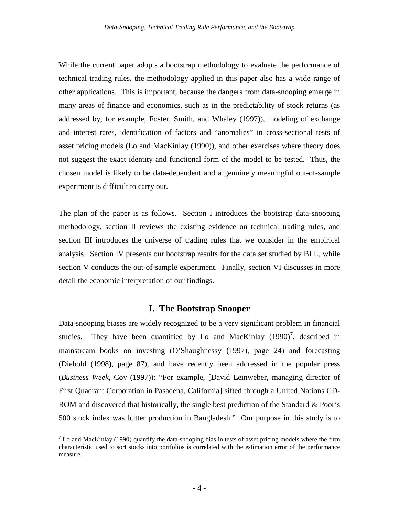While the current paper adopts a bootstrap methodology to evaluate the performance of technical trading rules, the methodology applied in this paper also has a wide range of other applications. This is important, because the dangers from data-snooping emerge in many areas of finance and economics, such as in the predictability of stock returns (as addressed by, for example, Foster, Smith, and Whaley (1997)), modeling of exchange and interest rates, identification of factors and "anomalies" in cross-sectional tests of asset pricing models (Lo and MacKinlay (1990)), and other exercises where theory does not suggest the exact identity and functional form of the model to be tested. Thus, the chosen model is likely to be data-dependent and a genuinely meaningful out-of-sample experiment is difficult to carry out.

The plan of the paper is as follows. Section I introduces the bootstrap data-snooping methodology, section II reviews the existing evidence on technical trading rules, and section III introduces the universe of trading rules that we consider in the empirical analysis. Section IV presents our bootstrap results for the data set studied by BLL, while section V conducts the out-of-sample experiment. Finally, section VI discusses in more detail the economic interpretation of our findings.

# **I. The Bootstrap Snooper**

Data-snooping biases are widely recognized to be a very significant problem in financial studies. They have been quantified by Lo and MacKinlay  $(1990)^7$ , described in mainstream books on investing (O'Shaughnessy (1997), page 24) and forecasting (Diebold (1998), page 87), and have recently been addressed in the popular press (*Business Week*, Coy (1997)): "For example, [David Leinweber, managing director of First Quadrant Corporation in Pasadena, California] sifted through a United Nations CD-ROM and discovered that historically, the single best prediction of the Standard & Poor's 500 stock index was butter production in Bangladesh." Our purpose in this study is to

 $\overline{a}$ 

 $<sup>7</sup>$  Lo and MacKinlay (1990) quantify the data-snooping bias in tests of asset pricing models where the firm</sup> characteristic used to sort stocks into portfolios is correlated with the estimation error of the performance measure.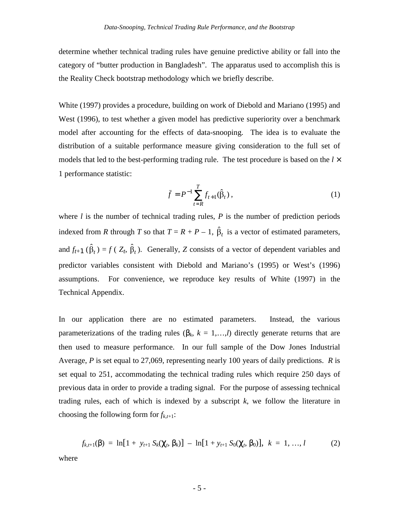determine whether technical trading rules have genuine predictive ability or fall into the category of "butter production in Bangladesh". The apparatus used to accomplish this is the Reality Check bootstrap methodology which we briefly describe.

White (1997) provides a procedure, building on work of Diebold and Mariano (1995) and West (1996), to test whether a given model has predictive superiority over a benchmark model after accounting for the effects of data-snooping. The idea is to evaluate the distribution of a suitable performance measure giving consideration to the full set of models that led to the best-performing trading rule. The test procedure is based on the  $l \times$ 1 performance statistic:

$$
\bar{f} = P^{-1} \sum_{t=R}^{T} f_{t+1}(\hat{\beta}_t), \qquad (1)
$$

where  $l$  is the number of technical trading rules,  $P$  is the number of prediction periods indexed from *R* through *T* so that  $T = R + P - 1$ ,  $\hat{\beta}_t$  is a vector of estimated parameters, and  $f_{t+1}$  ( $\hat{\beta}_t$ ) =  $f$  ( $Z_t$ ,  $\hat{\beta}_t$ ). Generally, *Z* consists of a vector of dependent variables and predictor variables consistent with Diebold and Mariano's (1995) or West's (1996) assumptions. For convenience, we reproduce key results of White (1997) in the Technical Appendix.

In our application there are no estimated parameters. Instead, the various parameterizations of the trading rules  $(\beta_k, k = 1, \ldots, l)$  directly generate returns that are then used to measure performance. In our full sample of the Dow Jones Industrial Average, *P* is set equal to 27,069, representing nearly 100 years of daily predictions. *R* is set equal to 251, accommodating the technical trading rules which require 250 days of previous data in order to provide a trading signal. For the purpose of assessing technical trading rules, each of which is indexed by a subscript *k*, we follow the literature in choosing the following form for  $f_{k,t+1}$ :

$$
f_{k,t+1}(\beta) = \ln[1 + y_{t+1} S_k(\chi_t, \beta_k)] - \ln[1 + y_{t+1} S_0(\chi_t, \beta_0)], \quad k = 1, ..., l \tag{2}
$$

where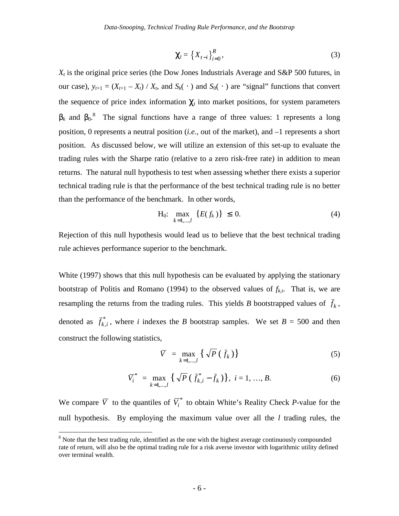$$
\chi_t = \left\{ X_{t-i} \right\}_{i=0}^R,
$$
\n(3)

 $X_t$  is the original price series (the Dow Jones Industrials Average and S&P 500 futures, in our case),  $y_{t+1} = (X_{t+1} - X_t) / X_t$ , and  $S_k(\cdot)$  and  $S_0(\cdot)$  are "signal" functions that convert the sequence of price index information  $\chi_t$  into market positions, for system parameters  $β<sub>k</sub>$  and  $β<sub>0</sub>$ .<sup>8</sup> The signal functions have a range of three values: 1 represents a long position, 0 represents a neutral position (*i.e.*, out of the market), and –1 represents a short position. As discussed below, we will utilize an extension of this set-up to evaluate the trading rules with the Sharpe ratio (relative to a zero risk-free rate) in addition to mean returns. The natural null hypothesis to test when assessing whether there exists a superior technical trading rule is that the performance of the best technical trading rule is no better than the performance of the benchmark. In other words,

$$
H_0: \max_{k=1,\dots,l} \{E(f_k)\} \le 0. \tag{4}
$$

Rejection of this null hypothesis would lead us to believe that the best technical trading rule achieves performance superior to the benchmark.

White (1997) shows that this null hypothesis can be evaluated by applying the stationary bootstrap of Politis and Romano (1994) to the observed values of  $f_{k,t}$ . That is, we are resampling the returns from the trading rules. This yields *B* bootstrapped values of  $f_k$ , denoted as  $\bar{f}_k^*$  $f_{k,i}^*$ , where *i* indexes the *B* bootstrap samples. We set  $B = 500$  and then construct the following statistics,

$$
\overline{V} = \max_{k=1,\dots,l} \left\{ \sqrt{P} \left( \bar{f}_k \right) \right\} \tag{5}
$$

$$
\overline{V}_{i}^{*} = \max_{k=1,\dots,l} \left\{ \sqrt{P} \left( \bar{f}_{k,i}^{*} - \bar{f}_{k} \right) \right\}, \ i = 1, \dots, B. \tag{6}
$$

We compare  $\overline{V}$  to the quantiles of  $\overline{V}_i^*$  to obtain White's Reality Check *P*-value for the null hypothesis. By employing the maximum value over all the *l* trading rules, the

 $\overline{a}$ 

 $8$  Note that the best trading rule, identified as the one with the highest average continuously compounded rate of return, will also be the optimal trading rule for a risk averse investor with logarithmic utility defined over terminal wealth.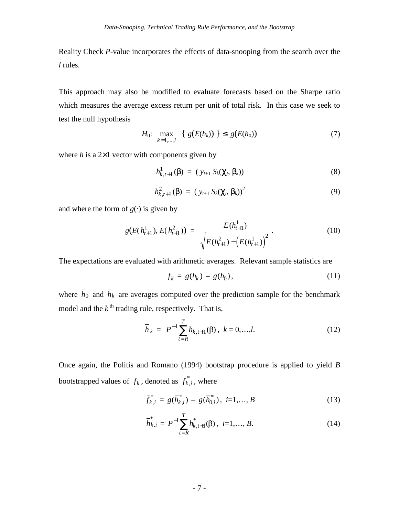Reality Check *P*-value incorporates the effects of data-snooping from the search over the *l* rules.

This approach may also be modified to evaluate forecasts based on the Sharpe ratio which measures the average excess return per unit of total risk. In this case we seek to test the null hypothesis

$$
H_0: \max_{k=1,\dots,l} \{ g(E(h_k)) \} \le g(E(h_0))
$$
 (7)

where  $h$  is a  $2\times1$  vector with components given by

$$
h_{k,t+1}^1(\beta) = (y_{t+1} S_k(\chi_t, \beta_k))
$$
\n(8)

$$
h_{k,t+1}^{2}(\beta) = (y_{t+1} S_{k}(\chi_{t}, \beta_{k}))^{2}
$$
 (9)

and where the form of  $g(·)$  is given by

$$
g(E(h_{t+1}^1), E(h_{t+1}^2)) = \frac{E(h_{t+1}^1)}{\sqrt{E(h_{t+1}^2) - \left(E(h_{t+1}^1)\right)^2}}.
$$
\n(10)

The expectations are evaluated with arithmetic averages. Relevant sample statistics are

$$
\bar{f}_k = g(\bar{h}_k) - g(\bar{h}_0), \qquad (11)
$$

where  $\bar{h}_0$  and  $\bar{h}_k$  are averages computed over the prediction sample for the benchmark model and the  $k^{\text{th}}$  trading rule, respectively. That is,

$$
\overline{h}_k = P^{-1} \sum_{t=R}^{T} h_{k,t+1}(\beta), \ k = 0,...,l.
$$
 (12)

Once again, the Politis and Romano (1994) bootstrap procedure is applied to yield *B* bootstrapped values of  $\bar{f}_k$ , denoted as  $\bar{f}_{k}^*$  $f_{k,i}^*$  , where

$$
\bar{f}_{k,i}^* = g(\bar{h}_{k,i}^*) - g(\bar{h}_{0,i}^*), \ i=1,\ldots,B
$$
\n(13)

$$
\overline{h}_{k,i}^* = P^{-1} \sum_{t=R}^T h_{k,t+1}^*(\beta), \ i=1,\ldots,B. \tag{14}
$$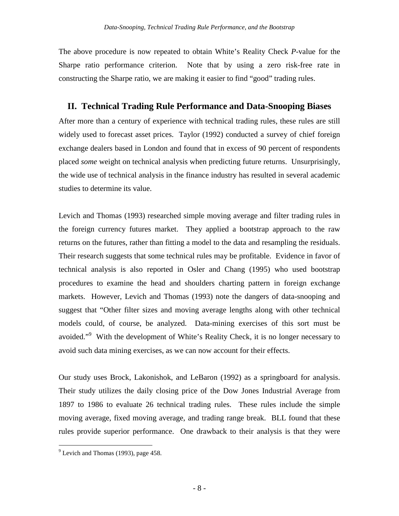The above procedure is now repeated to obtain White's Reality Check *P*-value for the Sharpe ratio performance criterion. Note that by using a zero risk-free rate in constructing the Sharpe ratio, we are making it easier to find "good" trading rules.

# **II. Technical Trading Rule Performance and Data-Snooping Biases**

After more than a century of experience with technical trading rules, these rules are still widely used to forecast asset prices. Taylor (1992) conducted a survey of chief foreign exchange dealers based in London and found that in excess of 90 percent of respondents placed *some* weight on technical analysis when predicting future returns. Unsurprisingly, the wide use of technical analysis in the finance industry has resulted in several academic studies to determine its value.

Levich and Thomas (1993) researched simple moving average and filter trading rules in the foreign currency futures market. They applied a bootstrap approach to the raw returns on the futures, rather than fitting a model to the data and resampling the residuals. Their research suggests that some technical rules may be profitable. Evidence in favor of technical analysis is also reported in Osler and Chang (1995) who used bootstrap procedures to examine the head and shoulders charting pattern in foreign exchange markets. However, Levich and Thomas (1993) note the dangers of data-snooping and suggest that "Other filter sizes and moving average lengths along with other technical models could, of course, be analyzed. Data-mining exercises of this sort must be avoided."<sup>9</sup> With the development of White's Reality Check, it is no longer necessary to avoid such data mining exercises, as we can now account for their effects.

Our study uses Brock, Lakonishok, and LeBaron (1992) as a springboard for analysis. Their study utilizes the daily closing price of the Dow Jones Industrial Average from 1897 to 1986 to evaluate 26 technical trading rules. These rules include the simple moving average, fixed moving average, and trading range break. BLL found that these rules provide superior performance. One drawback to their analysis is that they were

 $\overline{a}$ 

 $9^9$  Levich and Thomas (1993), page 458.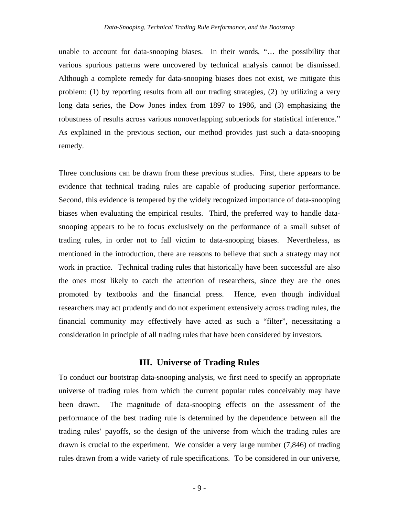unable to account for data-snooping biases. In their words, "… the possibility that various spurious patterns were uncovered by technical analysis cannot be dismissed. Although a complete remedy for data-snooping biases does not exist, we mitigate this problem: (1) by reporting results from all our trading strategies, (2) by utilizing a very long data series, the Dow Jones index from 1897 to 1986, and (3) emphasizing the robustness of results across various nonoverlapping subperiods for statistical inference." As explained in the previous section, our method provides just such a data-snooping remedy.

Three conclusions can be drawn from these previous studies. First, there appears to be evidence that technical trading rules are capable of producing superior performance. Second, this evidence is tempered by the widely recognized importance of data-snooping biases when evaluating the empirical results. Third, the preferred way to handle datasnooping appears to be to focus exclusively on the performance of a small subset of trading rules, in order not to fall victim to data-snooping biases. Nevertheless, as mentioned in the introduction, there are reasons to believe that such a strategy may not work in practice. Technical trading rules that historically have been successful are also the ones most likely to catch the attention of researchers, since they are the ones promoted by textbooks and the financial press. Hence, even though individual researchers may act prudently and do not experiment extensively across trading rules, the financial community may effectively have acted as such a "filter", necessitating a consideration in principle of all trading rules that have been considered by investors.

#### **III. Universe of Trading Rules**

To conduct our bootstrap data-snooping analysis, we first need to specify an appropriate universe of trading rules from which the current popular rules conceivably may have been drawn. The magnitude of data-snooping effects on the assessment of the performance of the best trading rule is determined by the dependence between all the trading rules' payoffs, so the design of the universe from which the trading rules are drawn is crucial to the experiment. We consider a very large number (7,846) of trading rules drawn from a wide variety of rule specifications. To be considered in our universe,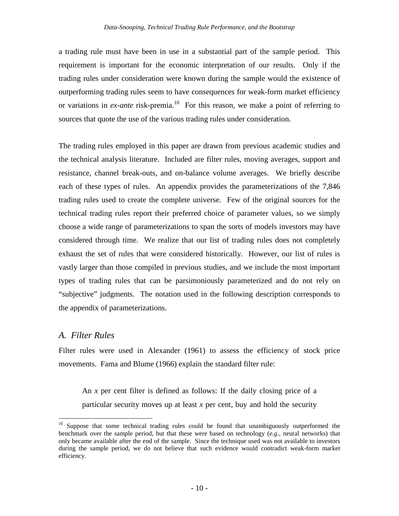a trading rule must have been in use in a substantial part of the sample period. This requirement is important for the economic interpretation of our results. Only if the trading rules under consideration were known during the sample would the existence of outperforming trading rules seem to have consequences for weak-form market efficiency or variations in *ex-ante* risk-premia. 10 For this reason, we make a point of referring to sources that quote the use of the various trading rules under consideration.

The trading rules employed in this paper are drawn from previous academic studies and the technical analysis literature. Included are filter rules, moving averages, support and resistance, channel break-outs, and on-balance volume averages. We briefly describe each of these types of rules. An appendix provides the parameterizations of the 7,846 trading rules used to create the complete universe. Few of the original sources for the technical trading rules report their preferred choice of parameter values, so we simply choose a wide range of parameterizations to span the sorts of models investors may have considered through time. We realize that our list of trading rules does not completely exhaust the set of rules that were considered historically. However, our list of rules is vastly larger than those compiled in previous studies, and we include the most important types of trading rules that can be parsimoniously parameterized and do not rely on "subjective" judgments. The notation used in the following description corresponds to the appendix of parameterizations.

# *A. Filter Rules*

Filter rules were used in Alexander (1961) to assess the efficiency of stock price movements. Fama and Blume (1966) explain the standard filter rule:

An *x* per cent filter is defined as follows: If the daily closing price of a particular security moves up at least *x* per cent, buy and hold the security

<sup>&</sup>lt;sup>10</sup> Suppose that some technical trading rules could be found that unambiguously outperformed the benchmark over the sample period, but that these were based on technology (*e.g.*, neural networks) that only became available after the end of the sample. Since the technique used was not available to investors during the sample period, we do not believe that such evidence would contradict weak-form market efficiency.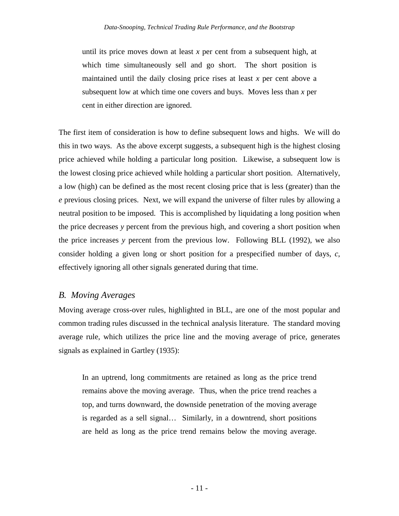until its price moves down at least *x* per cent from a subsequent high, at which time simultaneously sell and go short. The short position is maintained until the daily closing price rises at least *x* per cent above a subsequent low at which time one covers and buys. Moves less than *x* per cent in either direction are ignored.

The first item of consideration is how to define subsequent lows and highs. We will do this in two ways. As the above excerpt suggests, a subsequent high is the highest closing price achieved while holding a particular long position. Likewise, a subsequent low is the lowest closing price achieved while holding a particular short position. Alternatively, a low (high) can be defined as the most recent closing price that is less (greater) than the *e* previous closing prices. Next, we will expand the universe of filter rules by allowing a neutral position to be imposed. This is accomplished by liquidating a long position when the price decreases *y* percent from the previous high, and covering a short position when the price increases *y* percent from the previous low. Following BLL (1992), we also consider holding a given long or short position for a prespecified number of days, *c*, effectively ignoring all other signals generated during that time.

## *B. Moving Averages*

Moving average cross-over rules, highlighted in BLL, are one of the most popular and common trading rules discussed in the technical analysis literature. The standard moving average rule, which utilizes the price line and the moving average of price, generates signals as explained in Gartley (1935):

In an uptrend, long commitments are retained as long as the price trend remains above the moving average. Thus, when the price trend reaches a top, and turns downward, the downside penetration of the moving average is regarded as a sell signal… Similarly, in a downtrend, short positions are held as long as the price trend remains below the moving average.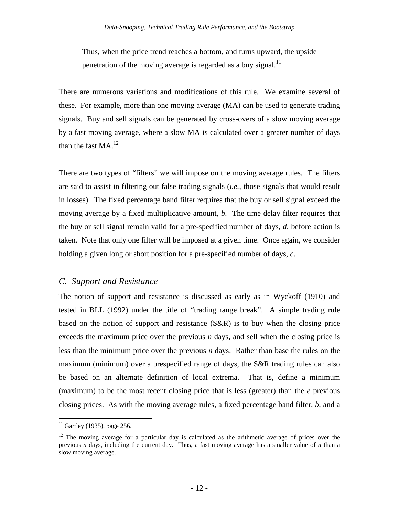Thus, when the price trend reaches a bottom, and turns upward, the upside penetration of the moving average is regarded as a buy signal.<sup>11</sup>

There are numerous variations and modifications of this rule. We examine several of these. For example, more than one moving average (MA) can be used to generate trading signals. Buy and sell signals can be generated by cross-overs of a slow moving average by a fast moving average, where a slow MA is calculated over a greater number of days than the fast  $MA.<sup>12</sup>$ 

There are two types of "filters" we will impose on the moving average rules. The filters are said to assist in filtering out false trading signals (*i.e.*, those signals that would result in losses). The fixed percentage band filter requires that the buy or sell signal exceed the moving average by a fixed multiplicative amount, *b*. The time delay filter requires that the buy or sell signal remain valid for a pre-specified number of days, *d*, before action is taken. Note that only one filter will be imposed at a given time. Once again, we consider holding a given long or short position for a pre-specified number of days, *c*.

## *C. Support and Resistance*

The notion of support and resistance is discussed as early as in Wyckoff (1910) and tested in BLL (1992) under the title of "trading range break". A simple trading rule based on the notion of support and resistance  $(S\&R)$  is to buy when the closing price exceeds the maximum price over the previous *n* days, and sell when the closing price is less than the minimum price over the previous *n* days. Rather than base the rules on the maximum (minimum) over a prespecified range of days, the S&R trading rules can also be based on an alternate definition of local extrema. That is, define a minimum (maximum) to be the most recent closing price that is less (greater) than the *e* previous closing prices. As with the moving average rules, a fixed percentage band filter, *b*, and a

 $\overline{a}$ 

 $11$  Gartley (1935), page 256.

<sup>&</sup>lt;sup>12</sup> The moving average for a particular day is calculated as the arithmetic average of prices over the previous *n* days, including the current day. Thus, a fast moving average has a smaller value of *n* than a slow moving average.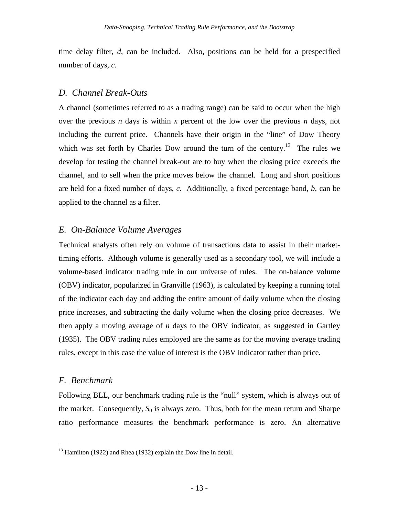time delay filter, *d*, can be included. Also, positions can be held for a prespecified number of days, *c*.

# *D. Channel Break-Outs*

A channel (sometimes referred to as a trading range) can be said to occur when the high over the previous *n* days is within *x* percent of the low over the previous *n* days, not including the current price. Channels have their origin in the "line" of Dow Theory which was set forth by Charles Dow around the turn of the century.<sup>13</sup> The rules we develop for testing the channel break-out are to buy when the closing price exceeds the channel, and to sell when the price moves below the channel. Long and short positions are held for a fixed number of days, *c*. Additionally, a fixed percentage band, *b*, can be applied to the channel as a filter.

# *E. On-Balance Volume Averages*

Technical analysts often rely on volume of transactions data to assist in their markettiming efforts. Although volume is generally used as a secondary tool, we will include a volume-based indicator trading rule in our universe of rules. The on-balance volume (OBV) indicator, popularized in Granville (1963), is calculated by keeping a running total of the indicator each day and adding the entire amount of daily volume when the closing price increases, and subtracting the daily volume when the closing price decreases. We then apply a moving average of *n* days to the OBV indicator, as suggested in Gartley (1935). The OBV trading rules employed are the same as for the moving average trading rules, except in this case the value of interest is the OBV indicator rather than price.

# *F. Benchmark*

Following BLL, our benchmark trading rule is the "null" system, which is always out of the market. Consequently,  $S_0$  is always zero. Thus, both for the mean return and Sharpe ratio performance measures the benchmark performance is zero. An alternative

 $\overline{a}$  $13$  Hamilton (1922) and Rhea (1932) explain the Dow line in detail.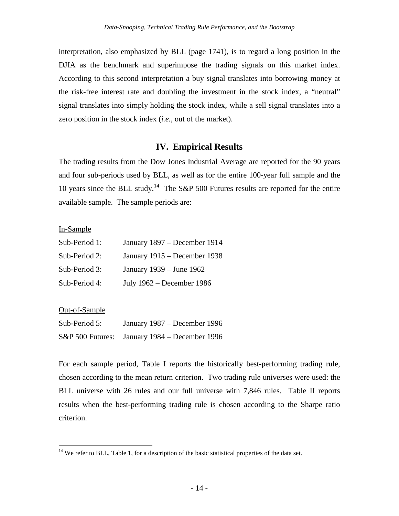interpretation, also emphasized by BLL (page 1741), is to regard a long position in the DJIA as the benchmark and superimpose the trading signals on this market index. According to this second interpretation a buy signal translates into borrowing money at the risk-free interest rate and doubling the investment in the stock index, a "neutral" signal translates into simply holding the stock index, while a sell signal translates into a zero position in the stock index (*i.e.*, out of the market).

## **IV. Empirical Results**

The trading results from the Dow Jones Industrial Average are reported for the 90 years and four sub-periods used by BLL, as well as for the entire 100-year full sample and the 10 years since the BLL study.<sup>14</sup> The S&P 500 Futures results are reported for the entire available sample. The sample periods are:

#### In-Sample

| Sub-Period 1: | January 1897 – December 1914 |
|---------------|------------------------------|
| Sub-Period 2: | January 1915 – December 1938 |
| Sub-Period 3: | January 1939 – June 1962     |
| Sub-Period 4: | July 1962 – December 1986    |

Out-of-Sample

 $\overline{a}$ 

| Sub-Period 5: | January 1987 – December 1996                  |
|---------------|-----------------------------------------------|
|               | S&P 500 Futures: January 1984 – December 1996 |

For each sample period, Table I reports the historically best-performing trading rule, chosen according to the mean return criterion. Two trading rule universes were used: the BLL universe with 26 rules and our full universe with 7,846 rules. Table II reports results when the best-performing trading rule is chosen according to the Sharpe ratio criterion.

 $14$  We refer to BLL, Table 1, for a description of the basic statistical properties of the data set.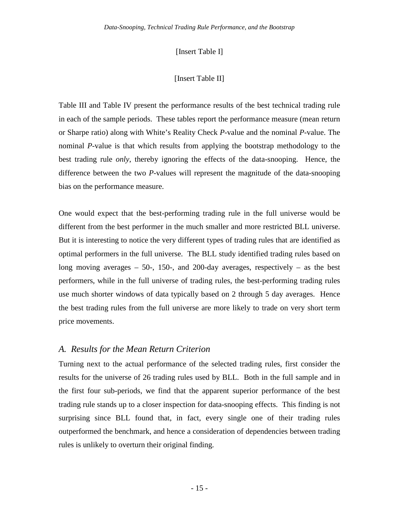[Insert Table I]

# [Insert Table II]

Table III and Table IV present the performance results of the best technical trading rule in each of the sample periods. These tables report the performance measure (mean return or Sharpe ratio) along with White's Reality Check *P*-value and the nominal *P*-value. The nominal *P*-value is that which results from applying the bootstrap methodology to the best trading rule *only*, thereby ignoring the effects of the data-snooping. Hence, the difference between the two *P*-values will represent the magnitude of the data-snooping bias on the performance measure.

One would expect that the best-performing trading rule in the full universe would be different from the best performer in the much smaller and more restricted BLL universe. But it is interesting to notice the very different types of trading rules that are identified as optimal performers in the full universe. The BLL study identified trading rules based on long moving averages – 50-, 150-, and 200-day averages, respectively – as the best performers, while in the full universe of trading rules, the best-performing trading rules use much shorter windows of data typically based on 2 through 5 day averages. Hence the best trading rules from the full universe are more likely to trade on very short term price movements.

# *A. Results for the Mean Return Criterion*

Turning next to the actual performance of the selected trading rules, first consider the results for the universe of 26 trading rules used by BLL. Both in the full sample and in the first four sub-periods, we find that the apparent superior performance of the best trading rule stands up to a closer inspection for data-snooping effects. This finding is not surprising since BLL found that, in fact, every single one of their trading rules outperformed the benchmark, and hence a consideration of dependencies between trading rules is unlikely to overturn their original finding.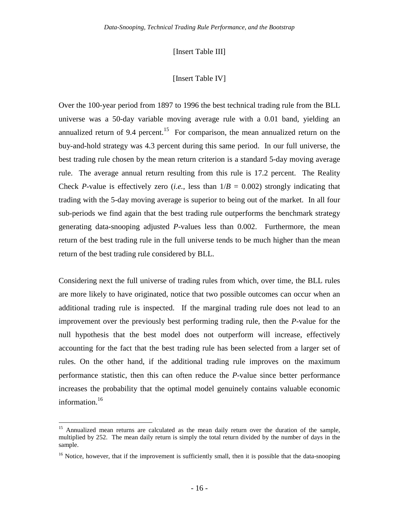[Insert Table III]

#### [Insert Table IV]

Over the 100-year period from 1897 to 1996 the best technical trading rule from the BLL universe was a 50-day variable moving average rule with a 0.01 band, yielding an annualized return of 9.4 percent.<sup>15</sup> For comparison, the mean annualized return on the buy-and-hold strategy was 4.3 percent during this same period. In our full universe, the best trading rule chosen by the mean return criterion is a standard 5-day moving average rule. The average annual return resulting from this rule is 17.2 percent. The Reality Check *P*-value is effectively zero (*i.e.*, less than  $1/B = 0.002$ ) strongly indicating that trading with the 5-day moving average is superior to being out of the market. In all four sub-periods we find again that the best trading rule outperforms the benchmark strategy generating data-snooping adjusted *P*-values less than 0.002. Furthermore, the mean return of the best trading rule in the full universe tends to be much higher than the mean return of the best trading rule considered by BLL.

Considering next the full universe of trading rules from which, over time, the BLL rules are more likely to have originated, notice that two possible outcomes can occur when an additional trading rule is inspected. If the marginal trading rule does not lead to an improvement over the previously best performing trading rule, then the *P*-value for the null hypothesis that the best model does not outperform will increase, effectively accounting for the fact that the best trading rule has been selected from a larger set of rules. On the other hand, if the additional trading rule improves on the maximum performance statistic, then this can often reduce the *P*-value since better performance increases the probability that the optimal model genuinely contains valuable economic information. 16

 $\overline{a}$ 

<sup>&</sup>lt;sup>15</sup> Annualized mean returns are calculated as the mean daily return over the duration of the sample, multiplied by 252. The mean daily return is simply the total return divided by the number of days in the sample.

<sup>&</sup>lt;sup>16</sup> Notice, however, that if the improvement is sufficiently small, then it is possible that the data-snooping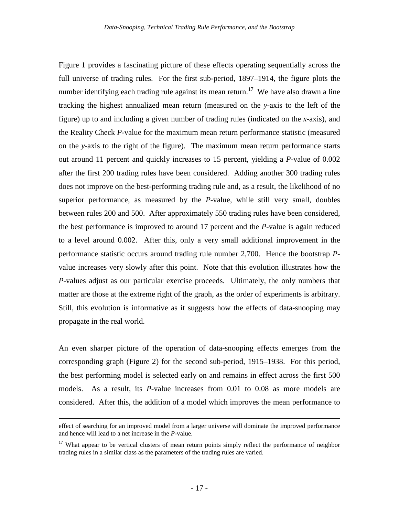Figure 1 provides a fascinating picture of these effects operating sequentially across the full universe of trading rules. For the first sub-period, 1897–1914, the figure plots the number identifying each trading rule against its mean return.<sup>17</sup> We have also drawn a line tracking the highest annualized mean return (measured on the *y*-axis to the left of the figure) up to and including a given number of trading rules (indicated on the *x*-axis), and the Reality Check *P*-value for the maximum mean return performance statistic (measured on the *y*-axis to the right of the figure). The maximum mean return performance starts out around 11 percent and quickly increases to 15 percent, yielding a *P*-value of 0.002 after the first 200 trading rules have been considered. Adding another 300 trading rules does not improve on the best-performing trading rule and, as a result, the likelihood of no superior performance, as measured by the *P*-value, while still very small, doubles between rules 200 and 500. After approximately 550 trading rules have been considered, the best performance is improved to around 17 percent and the *P*-value is again reduced to a level around 0.002. After this, only a very small additional improvement in the performance statistic occurs around trading rule number 2,700. Hence the bootstrap *P*value increases very slowly after this point. Note that this evolution illustrates how the *P*-values adjust as our particular exercise proceeds. Ultimately, the only numbers that matter are those at the extreme right of the graph, as the order of experiments is arbitrary. Still, this evolution is informative as it suggests how the effects of data-snooping may propagate in the real world.

An even sharper picture of the operation of data-snooping effects emerges from the corresponding graph (Figure 2) for the second sub-period, 1915–1938. For this period, the best performing model is selected early on and remains in effect across the first 500 models. As a result, its *P*-value increases from 0.01 to 0.08 as more models are considered. After this, the addition of a model which improves the mean performance to

 $\overline{a}$ 

effect of searching for an improved model from a larger universe will dominate the improved performance and hence will lead to a net increase in the *P*-value.

<sup>&</sup>lt;sup>17</sup> What appear to be vertical clusters of mean return points simply reflect the performance of neighbor trading rules in a similar class as the parameters of the trading rules are varied.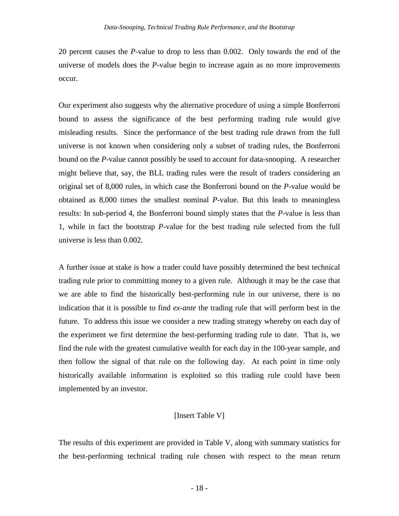20 percent causes the *P*-value to drop to less than 0.002. Only towards the end of the universe of models does the *P*-value begin to increase again as no more improvements occur.

Our experiment also suggests why the alternative procedure of using a simple Bonferroni bound to assess the significance of the best performing trading rule would give misleading results. Since the performance of the best trading rule drawn from the full universe is not known when considering only a subset of trading rules, the Bonferroni bound on the *P*-value cannot possibly be used to account for data-snooping. A researcher might believe that, say, the BLL trading rules were the result of traders considering an original set of 8,000 rules, in which case the Bonferroni bound on the *P*-value would be obtained as 8,000 times the smallest nominal *P*-value. But this leads to meaningless results: In sub-period 4, the Bonferroni bound simply states that the *P*-value is less than 1, while in fact the bootstrap *P-*value for the best trading rule selected from the full universe is less than 0.002.

A further issue at stake is how a trader could have possibly determined the best technical trading rule prior to committing money to a given rule. Although it may be the case that we are able to find the historically best-performing rule in our universe, there is no indication that it is possible to find *ex-ante* the trading rule that will perform best in the future. To address this issue we consider a new trading strategy whereby on each day of the experiment we first determine the best-performing trading rule to date. That is, we find the rule with the greatest cumulative wealth for each day in the 100-year sample, and then follow the signal of that rule on the following day. At each point in time only historically available information is exploited so this trading rule could have been implemented by an investor.

## [Insert Table V]

The results of this experiment are provided in Table V, along with summary statistics for the best-performing technical trading rule chosen with respect to the mean return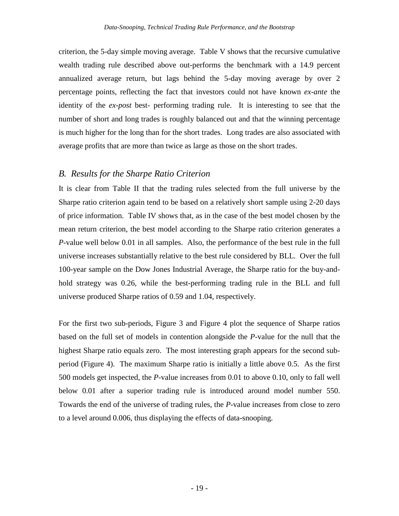criterion, the 5-day simple moving average. Table V shows that the recursive cumulative wealth trading rule described above out-performs the benchmark with a 14.9 percent annualized average return, but lags behind the 5-day moving average by over 2 percentage points, reflecting the fact that investors could not have known *ex-ante* the identity of the *ex-post* best- performing trading rule. It is interesting to see that the number of short and long trades is roughly balanced out and that the winning percentage is much higher for the long than for the short trades. Long trades are also associated with average profits that are more than twice as large as those on the short trades.

#### *B. Results for the Sharpe Ratio Criterion*

It is clear from Table II that the trading rules selected from the full universe by the Sharpe ratio criterion again tend to be based on a relatively short sample using 2-20 days of price information. Table IV shows that, as in the case of the best model chosen by the mean return criterion, the best model according to the Sharpe ratio criterion generates a *P*-value well below 0.01 in all samples. Also, the performance of the best rule in the full universe increases substantially relative to the best rule considered by BLL. Over the full 100-year sample on the Dow Jones Industrial Average, the Sharpe ratio for the buy-andhold strategy was 0.26, while the best-performing trading rule in the BLL and full universe produced Sharpe ratios of 0.59 and 1.04, respectively.

For the first two sub-periods, Figure 3 and Figure 4 plot the sequence of Sharpe ratios based on the full set of models in contention alongside the *P*-value for the null that the highest Sharpe ratio equals zero. The most interesting graph appears for the second subperiod (Figure 4). The maximum Sharpe ratio is initially a little above 0.5. As the first 500 models get inspected, the *P*-value increases from 0.01 to above 0.10, only to fall well below 0.01 after a superior trading rule is introduced around model number 550. Towards the end of the universe of trading rules, the *P*-value increases from close to zero to a level around 0.006, thus displaying the effects of data-snooping.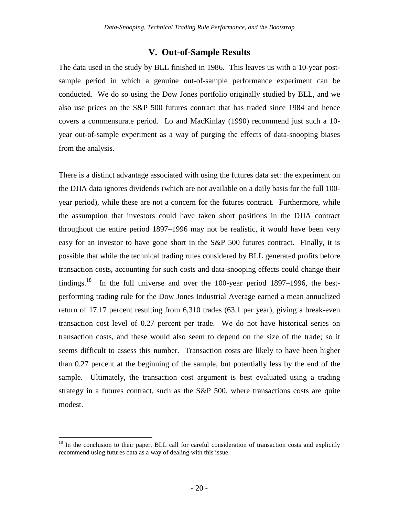# **V. Out-of-Sample Results**

The data used in the study by BLL finished in 1986. This leaves us with a 10-year postsample period in which a genuine out-of-sample performance experiment can be conducted. We do so using the Dow Jones portfolio originally studied by BLL, and we also use prices on the S&P 500 futures contract that has traded since 1984 and hence covers a commensurate period. Lo and MacKinlay (1990) recommend just such a 10 year out-of-sample experiment as a way of purging the effects of data-snooping biases from the analysis.

There is a distinct advantage associated with using the futures data set: the experiment on the DJIA data ignores dividends (which are not available on a daily basis for the full 100 year period), while these are not a concern for the futures contract. Furthermore, while the assumption that investors could have taken short positions in the DJIA contract throughout the entire period 1897–1996 may not be realistic, it would have been very easy for an investor to have gone short in the S&P 500 futures contract. Finally, it is possible that while the technical trading rules considered by BLL generated profits before transaction costs, accounting for such costs and data-snooping effects could change their findings.<sup>18</sup> In the full universe and over the 100-year period 1897–1996, the bestperforming trading rule for the Dow Jones Industrial Average earned a mean annualized return of 17.17 percent resulting from 6,310 trades (63.1 per year), giving a break-even transaction cost level of 0.27 percent per trade. We do not have historical series on transaction costs, and these would also seem to depend on the size of the trade; so it seems difficult to assess this number. Transaction costs are likely to have been higher than 0.27 percent at the beginning of the sample, but potentially less by the end of the sample. Ultimately, the transaction cost argument is best evaluated using a trading strategy in a futures contract, such as the S&P 500, where transactions costs are quite modest.

<sup>&</sup>lt;sup>18</sup> In the conclusion to their paper, BLL call for careful consideration of transaction costs and explicitly recommend using futures data as a way of dealing with this issue.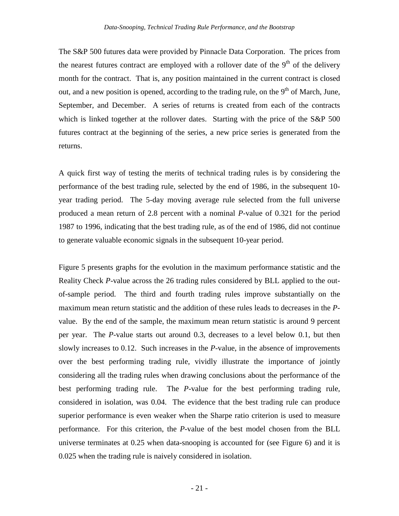The S&P 500 futures data were provided by Pinnacle Data Corporation. The prices from the nearest futures contract are employed with a rollover date of the  $9<sup>th</sup>$  of the delivery month for the contract. That is, any position maintained in the current contract is closed out, and a new position is opened, according to the trading rule, on the  $9<sup>th</sup>$  of March, June, September, and December. A series of returns is created from each of the contracts which is linked together at the rollover dates. Starting with the price of the S&P 500 futures contract at the beginning of the series, a new price series is generated from the returns.

A quick first way of testing the merits of technical trading rules is by considering the performance of the best trading rule, selected by the end of 1986, in the subsequent 10 year trading period. The 5-day moving average rule selected from the full universe produced a mean return of 2.8 percent with a nominal *P*-value of 0.321 for the period 1987 to 1996, indicating that the best trading rule, as of the end of 1986, did not continue to generate valuable economic signals in the subsequent 10-year period.

Figure 5 presents graphs for the evolution in the maximum performance statistic and the Reality Check *P*-value across the 26 trading rules considered by BLL applied to the outof-sample period. The third and fourth trading rules improve substantially on the maximum mean return statistic and the addition of these rules leads to decreases in the *P*value. By the end of the sample, the maximum mean return statistic is around 9 percent per year. The *P*-value starts out around 0.3, decreases to a level below 0.1, but then slowly increases to 0.12. Such increases in the *P*-value, in the absence of improvements over the best performing trading rule, vividly illustrate the importance of jointly considering all the trading rules when drawing conclusions about the performance of the best performing trading rule. The *P*-value for the best performing trading rule, considered in isolation, was 0.04. The evidence that the best trading rule can produce superior performance is even weaker when the Sharpe ratio criterion is used to measure performance. For this criterion, the *P*-value of the best model chosen from the BLL universe terminates at 0.25 when data-snooping is accounted for (see Figure 6) and it is 0.025 when the trading rule is naively considered in isolation.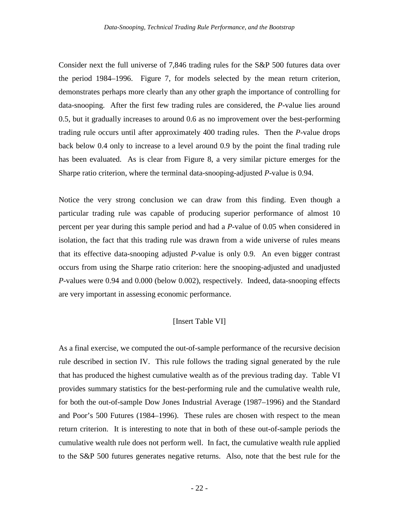Consider next the full universe of 7,846 trading rules for the S&P 500 futures data over the period 1984–1996. Figure 7, for models selected by the mean return criterion, demonstrates perhaps more clearly than any other graph the importance of controlling for data-snooping. After the first few trading rules are considered, the *P*-value lies around 0.5, but it gradually increases to around 0.6 as no improvement over the best-performing trading rule occurs until after approximately 400 trading rules. Then the *P*-value drops back below 0.4 only to increase to a level around 0.9 by the point the final trading rule has been evaluated. As is clear from Figure 8, a very similar picture emerges for the Sharpe ratio criterion, where the terminal data-snooping-adjusted *P*-value is 0.94.

Notice the very strong conclusion we can draw from this finding. Even though a particular trading rule was capable of producing superior performance of almost 10 percent per year during this sample period and had a *P*-value of 0.05 when considered in isolation, the fact that this trading rule was drawn from a wide universe of rules means that its effective data-snooping adjusted *P*-value is only 0.9. An even bigger contrast occurs from using the Sharpe ratio criterion: here the snooping-adjusted and unadjusted *P*-values were 0.94 and 0.000 (below 0.002), respectively. Indeed, data-snooping effects are very important in assessing economic performance.

#### [Insert Table VI]

As a final exercise, we computed the out-of-sample performance of the recursive decision rule described in section IV. This rule follows the trading signal generated by the rule that has produced the highest cumulative wealth as of the previous trading day. Table VI provides summary statistics for the best-performing rule and the cumulative wealth rule, for both the out-of-sample Dow Jones Industrial Average (1987–1996) and the Standard and Poor's 500 Futures (1984–1996). These rules are chosen with respect to the mean return criterion. It is interesting to note that in both of these out-of-sample periods the cumulative wealth rule does not perform well. In fact, the cumulative wealth rule applied to the S&P 500 futures generates negative returns. Also, note that the best rule for the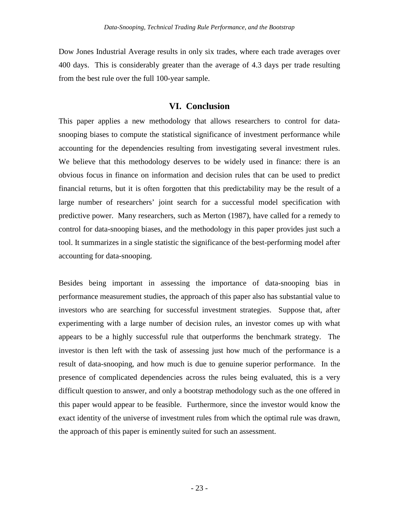Dow Jones Industrial Average results in only six trades, where each trade averages over 400 days. This is considerably greater than the average of 4.3 days per trade resulting from the best rule over the full 100-year sample.

# **VI. Conclusion**

This paper applies a new methodology that allows researchers to control for datasnooping biases to compute the statistical significance of investment performance while accounting for the dependencies resulting from investigating several investment rules. We believe that this methodology deserves to be widely used in finance: there is an obvious focus in finance on information and decision rules that can be used to predict financial returns, but it is often forgotten that this predictability may be the result of a large number of researchers' joint search for a successful model specification with predictive power. Many researchers, such as Merton (1987), have called for a remedy to control for data-snooping biases, and the methodology in this paper provides just such a tool. It summarizes in a single statistic the significance of the best-performing model after accounting for data-snooping.

Besides being important in assessing the importance of data-snooping bias in performance measurement studies, the approach of this paper also has substantial value to investors who are searching for successful investment strategies. Suppose that, after experimenting with a large number of decision rules, an investor comes up with what appears to be a highly successful rule that outperforms the benchmark strategy. The investor is then left with the task of assessing just how much of the performance is a result of data-snooping, and how much is due to genuine superior performance. In the presence of complicated dependencies across the rules being evaluated, this is a very difficult question to answer, and only a bootstrap methodology such as the one offered in this paper would appear to be feasible. Furthermore, since the investor would know the exact identity of the universe of investment rules from which the optimal rule was drawn, the approach of this paper is eminently suited for such an assessment.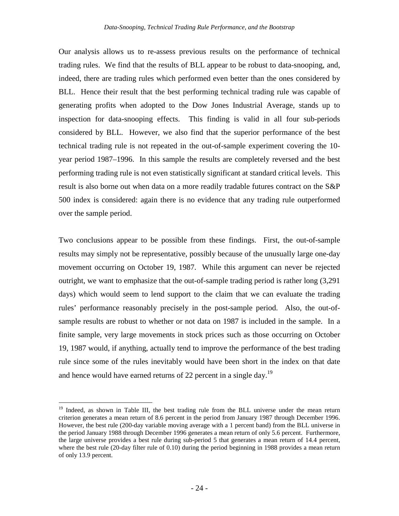Our analysis allows us to re-assess previous results on the performance of technical trading rules. We find that the results of BLL appear to be robust to data-snooping, and, indeed, there are trading rules which performed even better than the ones considered by BLL. Hence their result that the best performing technical trading rule was capable of generating profits when adopted to the Dow Jones Industrial Average, stands up to inspection for data-snooping effects. This finding is valid in all four sub-periods considered by BLL. However, we also find that the superior performance of the best technical trading rule is not repeated in the out-of-sample experiment covering the 10 year period 1987–1996. In this sample the results are completely reversed and the best performing trading rule is not even statistically significant at standard critical levels. This result is also borne out when data on a more readily tradable futures contract on the S&P 500 index is considered: again there is no evidence that any trading rule outperformed over the sample period.

Two conclusions appear to be possible from these findings. First, the out-of-sample results may simply not be representative, possibly because of the unusually large one-day movement occurring on October 19, 1987. While this argument can never be rejected outright, we want to emphasize that the out-of-sample trading period is rather long (3,291 days) which would seem to lend support to the claim that we can evaluate the trading rules' performance reasonably precisely in the post-sample period. Also, the out-ofsample results are robust to whether or not data on 1987 is included in the sample. In a finite sample, very large movements in stock prices such as those occurring on October 19, 1987 would, if anything, actually tend to improve the performance of the best trading rule since some of the rules inevitably would have been short in the index on that date and hence would have earned returns of 22 percent in a single day.<sup>19</sup>

<sup>&</sup>lt;sup>19</sup> Indeed, as shown in Table III, the best trading rule from the BLL universe under the mean return criterion generates a mean return of 8.6 percent in the period from January 1987 through December 1996. However, the best rule (200-day variable moving average with a 1 percent band) from the BLL universe in the period January 1988 through December 1996 generates a mean return of only 5.6 percent. Furthermore, the large universe provides a best rule during sub-period 5 that generates a mean return of 14.4 percent, where the best rule (20-day filter rule of 0.10) during the period beginning in 1988 provides a mean return of only 13.9 percent.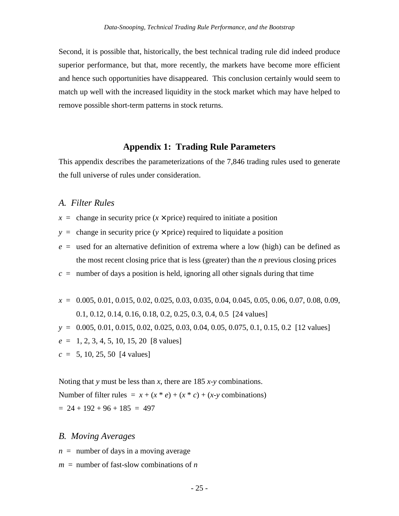Second, it is possible that, historically, the best technical trading rule did indeed produce superior performance, but that, more recently, the markets have become more efficient and hence such opportunities have disappeared. This conclusion certainly would seem to match up well with the increased liquidity in the stock market which may have helped to remove possible short-term patterns in stock returns.

## **Appendix 1: Trading Rule Parameters**

This appendix describes the parameterizations of the 7,846 trading rules used to generate the full universe of rules under consideration.

#### *A. Filter Rules*

- $x =$  change in security price ( $x \times$  price) required to initiate a position
- *y* = change in security price ( $y \times$  price) required to liquidate a position
- $e$  = used for an alternative definition of extrema where a low (high) can be defined as the most recent closing price that is less (greater) than the *n* previous closing prices
- $c =$  number of days a position is held, ignoring all other signals during that time
- *x* = 0.005, 0.01, 0.015, 0.02, 0.025, 0.03, 0.035, 0.04, 0.045, 0.05, 0.06, 0.07, 0.08, 0.09, 0.1, 0.12, 0.14, 0.16, 0.18, 0.2, 0.25, 0.3, 0.4, 0.5 [24 values]
- *y* = 0.005, 0.01, 0.015, 0.02, 0.025, 0.03, 0.04, 0.05, 0.075, 0.1, 0.15, 0.2 [12 values]
- *e* = 1, 2, 3, 4, 5, 10, 15, 20 [8 values]
- $c = 5, 10, 25, 50$  [4 values]

Noting that *y* must be less than *x*, there are 185 *x*-*y* combinations. Number of filter rules =  $x + (x * e) + (x * c) + (x - y)$  combinations)  $= 24 + 192 + 96 + 185 = 497$ 

#### *B. Moving Averages*

- $n =$  number of days in a moving average
- $m =$  number of fast-slow combinations of *n*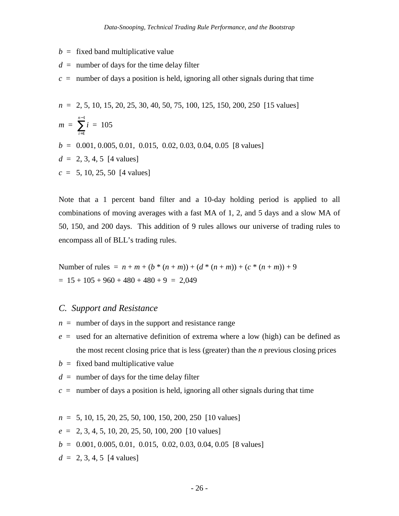- $b =$  fixed band multiplicative value
- $d =$  number of days for the time delay filter
- $c =$  number of days a position is held, ignoring all other signals during that time
- *n* = 2, 5, 10, 15, 20, 25, 30, 40, 50, 75, 100, 125, 150, 200, 250 [15 values]
- *m* = *i i n* =  $\sum_{i=1}^{n-1}$ 1  $= 105$  $b = 0.001, 0.005, 0.01, 0.015, 0.02, 0.03, 0.04, 0.05$  [8 values]  $d = 2, 3, 4, 5$  [4 values]  $c = 5, 10, 25, 50$  [4 values]

Note that a 1 percent band filter and a 10-day holding period is applied to all combinations of moving averages with a fast MA of 1, 2, and 5 days and a slow MA of 50, 150, and 200 days. This addition of 9 rules allows our universe of trading rules to encompass all of BLL's trading rules.

Number of rules =  $n + m + (b * (n + m)) + (d * (n + m)) + (c * (n + m)) + 9$  $= 15 + 105 + 960 + 480 + 480 + 9 = 2,049$ 

## *C. Support and Resistance*

- $n =$  number of days in the support and resistance range
- $e$  = used for an alternative definition of extrema where a low (high) can be defined as the most recent closing price that is less (greater) than the *n* previous closing prices
- $b =$  fixed band multiplicative value
- $d =$  number of days for the time delay filter
- $c =$  number of days a position is held, ignoring all other signals during that time

$$
n = 5, 10, 15, 20, 25, 50, 100, 150, 200, 250 [10 values]
$$

$$
e = 2, 3, 4, 5, 10, 20, 25, 50, 100, 200
$$
 [10 values]

- $b = 0.001, 0.005, 0.01, 0.015, 0.02, 0.03, 0.04, 0.05$  [8 values]
- $d = 2, 3, 4, 5$  [4 values]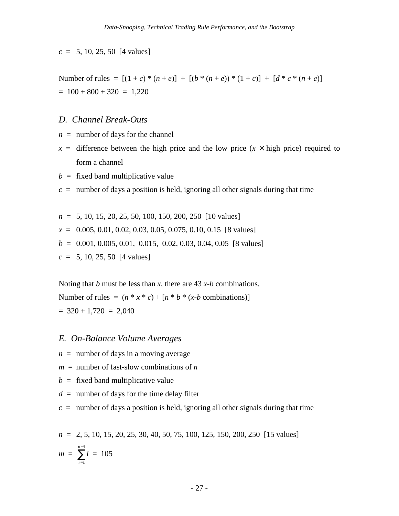*c* = 5, 10, 25, 50 [4 values]

Number of rules =  $[(1 + c) * (n + e)] + [(b * (n + e)) * (1 + c)] + [d * c * (n + e)]$  $= 100 + 800 + 320 = 1,220$ 

## *D. Channel Break-Outs*

- $n =$  number of days for the channel
- $x =$  difference between the high price and the low price ( $x \times$  high price) required to form a channel
- $b =$  fixed band multiplicative value
- $c =$  number of days a position is held, ignoring all other signals during that time
- *n* = 5, 10, 15, 20, 25, 50, 100, 150, 200, 250 [10 values] *x* = 0.005, 0.01, 0.02, 0.03, 0.05, 0.075, 0.10, 0.15 [8 values]  $b = 0.001, 0.005, 0.01, 0.015, 0.02, 0.03, 0.04, 0.05$  [8 values]  $c = 5, 10, 25, 50$  [4 values]

Noting that *b* must be less than *x*, there are 43 *x*-*b* combinations. Number of rules =  $(n * x * c) + [n * b * (x-b)$  combinations)  $=$  320 + 1,720 = 2,040

#### *E. On-Balance Volume Averages*

- $n =$  number of days in a moving average
- $m =$  number of fast-slow combinations of *n*
- $b =$  fixed band multiplicative value
- $d =$  number of days for the time delay filter
- $c =$  number of days a position is held, ignoring all other signals during that time

$$
n = 2, 5, 10, 15, 20, 25, 30, 40, 50, 75, 100, 125, 150, 200, 250 \text{ [15 values]}
$$

$$
m = \sum_{i=1}^{n-1} i = 105
$$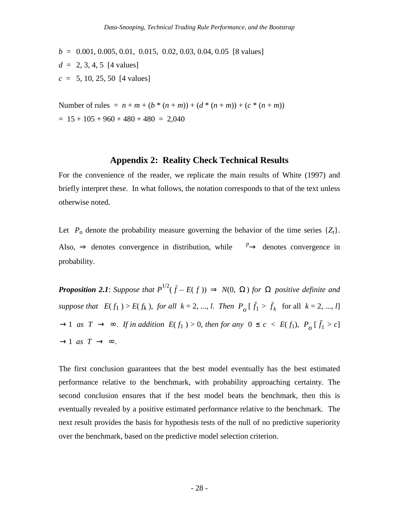$b = 0.001, 0.005, 0.01, 0.015, 0.02, 0.03, 0.04, 0.05$  [8 values]  $d = 2, 3, 4, 5$  [4 values]  $c = 5, 10, 25, 50$  [4 values]

Number of rules =  $n + m + (b * (n + m)) + (d * (n + m)) + (c * (n + m))$  $= 15 + 105 + 960 + 480 + 480 = 2,040$ 

#### **Appendix 2: Reality Check Technical Results**

For the convenience of the reader, we replicate the main results of White (1997) and briefly interpret these. In what follows, the notation corresponds to that of the text unless otherwise noted.

Let  $P$ <sup>*o*</sup> denote the probability measure governing the behavior of the time series  $\{Z_t\}$ . Also,  $\Rightarrow$  denotes convergence in distribution, while  $\frac{p}{\sqrt{p}}$  denotes convergence in probability.

*Proposition* 2.1: *Suppose that*  $P^{1/2}(\bar{f} - E(f)) \Rightarrow N(0, \Omega)$  *for*  $\Omega$  *positive definite and* suppose that  $E(f_1) > E(f_k)$ , for all  $k = 2, ..., l$ . Then  $P_o$  [ $f_1 > f_k$  for all  $k = 2, ..., l$ ]  $\rightarrow$  1 *as*  $T \rightarrow \infty$ . If in addition  $E(f_1) > 0$ , then for any  $0 \le c < E(f_1)$ ,  $P_o$  [ $\bar{f}_1 > c$ ]  $\rightarrow$ 1 *as*  $T \rightarrow \infty$ .

The first conclusion guarantees that the best model eventually has the best estimated performance relative to the benchmark, with probability approaching certainty. The second conclusion ensures that if the best model beats the benchmark, then this is eventually revealed by a positive estimated performance relative to the benchmark. The next result provides the basis for hypothesis tests of the null of no predictive superiority over the benchmark, based on the predictive model selection criterion.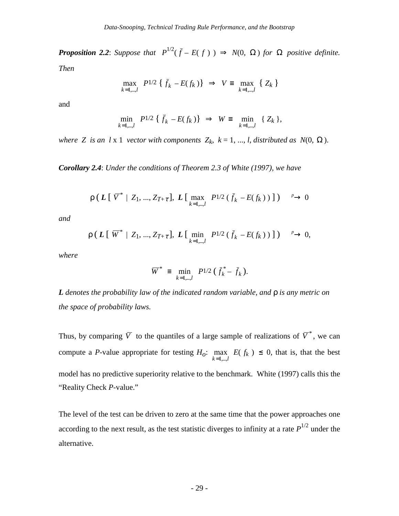*Proposition* 2.2: *Suppose that*  $P^{1/2}(\bar{f} - E(f)) \Rightarrow N(0, \Omega)$  *for*  $\Omega$  *positive definite. Then*

$$
\max_{k=1,\dots,l} P^{1/2} \left\{ \bar{f}_k - E(f_k) \right\} \implies V \equiv \max_{k=1,\dots,l} \left\{ Z_k \right\}
$$

and

$$
\min_{k=1,\dots,l} P^{1/2} \left\{ \bar{f}_k - E(f_k) \right\} \implies W \equiv \min_{k=1,\dots,l} \left\{ Z_k \right\},
$$

*where Z is an l* x 1 *vector with components*  $Z_k$ ,  $k = 1, ..., l$ , *distributed as*  $N(0, \Omega)$ .

*Corollary 2.4*: *Under the conditions of Theorem 2.3 of White (1997), we have*

$$
\rho\left(\ L\left[\ \overline{V}^* \ | \ Z_1, ..., Z_{T+\tau}\right],\ L\left[\ \max_{k=1,...,l} \ P^{1/2}\left(\bar{f}_k - E(f_k)\right)\right]\right) \longrightarrow 0
$$

*and*

$$
\rho\left(\,L\left[\,\,\overline{W}^*\,\,\left|\,\,Z_1,\,...,\,Z_{T+\tau}\,\right],\,L\left[\,\,\min_{k=1,\,...,l}\,\,P^{1/2}\left(\,\bar{f}_k\,-E(f_k)\,\right)\,\right]\,\right)\,\xrightarrow{\ \,p\,}\,0,
$$

*where*

$$
\overline{W}^* \ \equiv \ \min_{k=1,\dots,l} \ P^{1/2} \left( \bar{f}_k^* - \bar{f}_k \right).
$$

*L denotes the probability law of the indicated random variable, and* ρ *is any metric on the space of probability laws.*

Thus, by comparing  $\overline{V}$  to the quantiles of a large sample of realizations of  $\overline{V}^*$ , we can compute a *P*-value appropriate for testing  $H_o$ :  $\max_{k=1,\dots,l} E(f_k) \le 0$ , that is, that the best model has no predictive superiority relative to the benchmark. White (1997) calls this the "Reality Check *P-*value."

The level of the test can be driven to zero at the same time that the power approaches one according to the next result, as the test statistic diverges to infinity at a rate  $P^{1/2}$  under the alternative.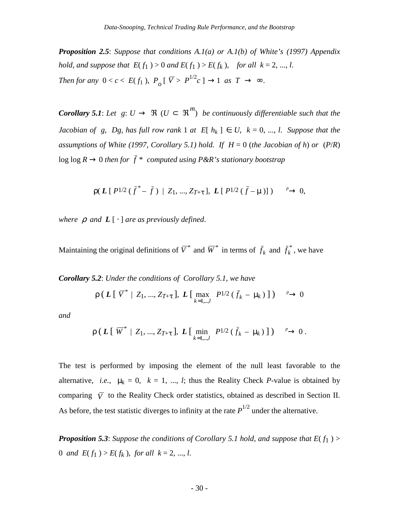*Proposition 2.5*: *Suppose that conditions A.1(a) or A.1(b) of White's (1997) Appendix hold,* and suppose that  $E(f_1) > 0$  and  $E(f_1) > E(f_k)$ , for all  $k = 2, ..., l$ . *Then for any*  $0 < c < E(f_1)$ ,  $P_o \left[ \overline{V} > P^{1/2} c \right] \rightarrow 1$  *as*  $T \rightarrow \infty$ .

*Corollary* 5.1: Let  $g: U \to \Re$   $(U \subset \Re^m)$  be continuously differentiable such that the *Jacobian of g*, *Dg*, *has full row rank* 1 *at*  $E[ h_k ] \in U$ ,  $k = 0, ..., l$ . *Suppose that the assumptions of White* (1997, *Corollary* 5.1) *hold.* If  $H = 0$  (*the Jacobian of h*) *or* ( $P/R$ ) log  $\log R \to 0$  *then* for  $\bar{f}$  \* *computed using P&R's stationary bootstrap* 

$$
\rho(L [ P^{1/2} (\bar{f}^* - \bar{f}) | Z_1, ..., Z_{T+\tau}], L [ P^{1/2} (\bar{f} - \mu)] ) \longrightarrow 0,
$$

*where* ρ *and L* [ ⋅ ] *are as previously defined*.

Maintaining the original definitions of  $\overline{V}^*$  and  $\overline{W}^*$  in terms of  $\overline{f}_k$  and  $\overline{f}_k^*$ , we have

*Corollary 5.2*: *Under the conditions of Corollary 5.1, we have*

$$
\rho\left(\, \mathbf{L}\left[\, \overline{V}^* \mid Z_1, ..., Z_{T+\tau}\, \right],\, \mathbf{L}\left[\, \max_{k=1,...,l} \, P^{1/2} \left(\, \overline{f}_k - \mu_k\, \right)\, \right]\, \right) \xrightarrow{\ \ \ \nu \ \ } 0
$$

*and*

$$
\rho\left(\,L\left[\,\,\overline{W}^*\,\,\vert\,\,Z_1,...,Z_{T+\tau}\,\right],\,L\left[\,\min_{k=1,...,l}\,\,P^{1/2}\left(\,\bar{f}_k\,-\,\mu_k\,\right)\,\right]\,\right)\,\xrightarrow{\ \,p\,}\,0\,.
$$

The test is performed by imposing the element of the null least favorable to the alternative, *i.e.*,  $\mu_k = 0$ ,  $k = 1$ , ..., *l*; thus the Reality Check *P*-value is obtained by comparing  $\overline{V}$  to the Reality Check order statistics, obtained as described in Section II. As before, the test statistic diverges to infinity at the rate  $P^{1/2}$  under the alternative.

*Proposition* 5.3: *Suppose the conditions of Corollary* 5.1 *hold, and suppose that*  $E(f_1)$  > 0 *and*  $E(f_1) > E(f_k)$ , *for all*  $k = 2, ..., l$ .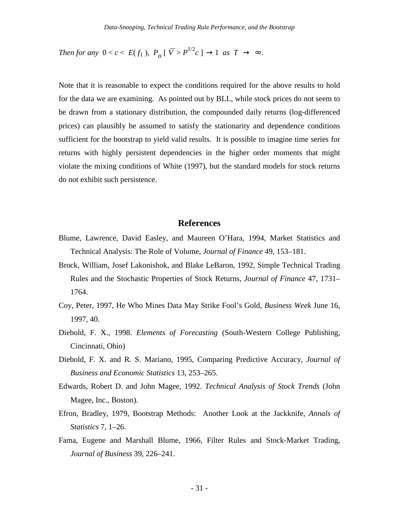*Then for any*  $0 < c < E(f_1)$ ,  $P_o \left[ \overline{V} > P^{1/2} c \right] \rightarrow 1$  *as*  $T \rightarrow \infty$ .

Note that it is reasonable to expect the conditions required for the above results to hold for the data we are examining. As pointed out by BLL, while stock prices do not seem to be drawn from a stationary distribution, the compounded daily returns (log-differenced prices) can plausibly be assumed to satisfy the stationarity and dependence conditions sufficient for the bootstrap to yield valid results. It is possible to imagine time series for returns with highly persistent dependencies in the higher order moments that might violate the mixing conditions of White (1997), but the standard models for stock returns do not exhibit such persistence.

## **References**

- Blume, Lawrence, David Easley, and Maureen O'Hara, 1994, Market Statistics and Technical Analysis: The Role of Volume, *Journal of Finance* 49, 153–181.
- Brock, William, Josef Lakonishok, and Blake LeBaron, 1992, Simple Technical Trading Rules and the Stochastic Properties of Stock Returns, *Journal of Finance* 47, 1731– 1764.
- Coy, Peter, 1997, He Who Mines Data May Strike Fool's Gold, *Business Week* June 16, 1997, 40.
- Diebold, F. X., 1998. *Elements of Forecasting* (South-Western College Publishing, Cincinnati, Ohio)
- Diebold, F. X. and R. S. Mariano, 1995, Comparing Predictive Accuracy, *Journal of Business and Economic Statistics* 13, 253–265.
- Edwards, Robert D. and John Magee, 1992. *Technical Analysis of Stock Trends* (John Magee, Inc., Boston).
- Efron, Bradley, 1979, Bootstrap Methods: Another Look at the Jackknife, *Annals of Statistics* 7, 1–26.
- Fama, Eugene and Marshall Blume, 1966, Filter Rules and Stock-Market Trading, *Journal of Business* 39, 226–241.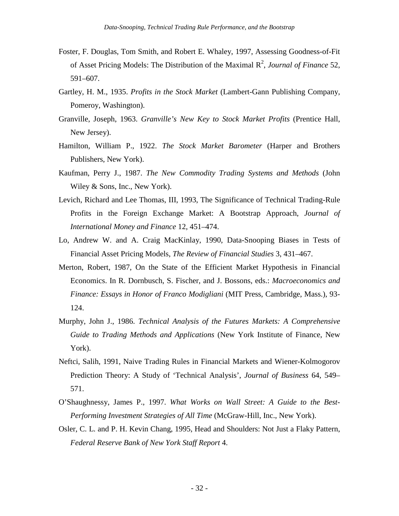- Foster, F. Douglas, Tom Smith, and Robert E. Whaley, 1997, Assessing Goodness-of-Fit of Asset Pricing Models: The Distribution of the Maximal R 2 , *Journal of Finance* 52, 591–607.
- Gartley, H. M., 1935. *Profits in the Stock Market* (Lambert-Gann Publishing Company, Pomeroy, Washington).
- Granville, Joseph, 1963. *Granville's New Key to Stock Market Profits* (Prentice Hall, New Jersey).
- Hamilton, William P., 1922. *The Stock Market Barometer* (Harper and Brothers Publishers, New York).
- Kaufman, Perry J., 1987. *The New Commodity Trading Systems and Methods* (John Wiley & Sons, Inc., New York).
- Levich, Richard and Lee Thomas, III, 1993, The Significance of Technical Trading-Rule Profits in the Foreign Exchange Market: A Bootstrap Approach, *Journal of International Money and Finance* 12, 451–474.
- Lo, Andrew W. and A. Craig MacKinlay, 1990, Data-Snooping Biases in Tests of Financial Asset Pricing Models, *The Review of Financial Studies* 3, 431–467.
- Merton, Robert, 1987, On the State of the Efficient Market Hypothesis in Financial Economics. In R. Dornbusch, S. Fischer, and J. Bossons, eds.: *Macroeconomics and Finance: Essays in Honor of Franco Modigliani* (MIT Press, Cambridge, Mass.), 93- 124.
- Murphy, John J., 1986. *Technical Analysis of the Futures Markets: A Comprehensive Guide to Trading Methods and Applications* (New York Institute of Finance, New York).
- Neftci, Salih, 1991, Naive Trading Rules in Financial Markets and Wiener-Kolmogorov Prediction Theory: A Study of 'Technical Analysis', *Journal of Business* 64, 549– 571.
- O'Shaughnessy, James P., 1997. *What Works on Wall Street: A Guide to the Best-Performing Investment Strategies of All Time* (McGraw-Hill, Inc., New York).
- Osler, C. L. and P. H. Kevin Chang, 1995, Head and Shoulders: Not Just a Flaky Pattern, *Federal Reserve Bank of New York Staff Report* 4.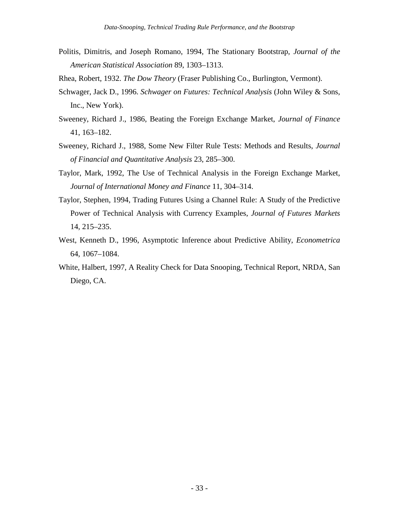- Politis, Dimitris, and Joseph Romano, 1994, The Stationary Bootstrap, *Journal of the American Statistical Association* 89, 1303–1313.
- Rhea, Robert, 1932. *The Dow Theory* (Fraser Publishing Co., Burlington, Vermont).
- Schwager, Jack D., 1996. *Schwager on Futures: Technical Analysis* (John Wiley & Sons, Inc., New York).
- Sweeney, Richard J., 1986, Beating the Foreign Exchange Market, *Journal of Finance* 41, 163–182.
- Sweeney, Richard J., 1988, Some New Filter Rule Tests: Methods and Results, *Journal of Financial and Quantitative Analysis* 23, 285–300.
- Taylor, Mark, 1992, The Use of Technical Analysis in the Foreign Exchange Market, *Journal of International Money and Finance* 11, 304–314.
- Taylor, Stephen, 1994, Trading Futures Using a Channel Rule: A Study of the Predictive Power of Technical Analysis with Currency Examples, *Journal of Futures Markets* 14, 215–235.
- West, Kenneth D., 1996, Asymptotic Inference about Predictive Ability, *Econometrica* 64, 1067–1084.
- White, Halbert, 1997, A Reality Check for Data Snooping, Technical Report, NRDA, San Diego, CA.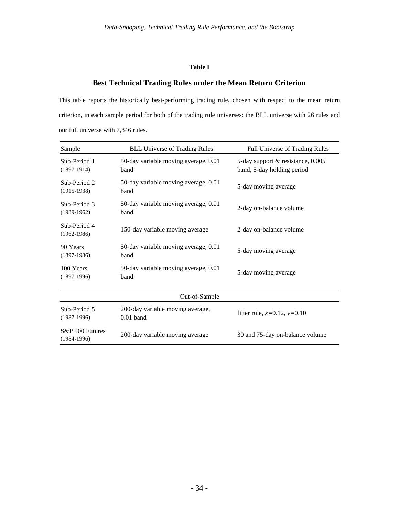#### **Table I**

## **Best Technical Trading Rules under the Mean Return Criterion**

This table reports the historically best-performing trading rule, chosen with respect to the mean return criterion, in each sample period for both of the trading rule universes: the BLL universe with 26 rules and our full universe with 7,846 rules.

| Sample                             | <b>BLL Universe of Trading Rules</b>            | Full Universe of Trading Rules                                  |  |  |
|------------------------------------|-------------------------------------------------|-----------------------------------------------------------------|--|--|
| Sub-Period 1<br>$(1897-1914)$      | 50-day variable moving average, 0.01<br>band    | 5-day support & resistance, 0.005<br>band, 5-day holding period |  |  |
| Sub-Period 2<br>$(1915-1938)$      | 50-day variable moving average, 0.01<br>band    | 5-day moving average                                            |  |  |
| Sub-Period 3<br>$(1939-1962)$      | 50-day variable moving average, 0.01<br>band    | 2-day on-balance volume                                         |  |  |
| Sub-Period 4<br>$(1962 - 1986)$    | 150-day variable moving average                 | 2-day on-balance volume                                         |  |  |
| 90 Years<br>$(1897-1986)$          | 50-day variable moving average, 0.01<br>band    | 5-day moving average                                            |  |  |
| 100 Years<br>$(1897-1996)$         | 50-day variable moving average, 0.01<br>band    | 5-day moving average                                            |  |  |
| Out-of-Sample                      |                                                 |                                                                 |  |  |
| Sub-Period 5<br>$(1987-1996)$      | 200-day variable moving average,<br>$0.01$ band | filter rule, $x=0.12$ , $y=0.10$                                |  |  |
| S&P 500 Futures<br>$(1984 - 1996)$ | 200-day variable moving average                 | 30 and 75-day on-balance volume                                 |  |  |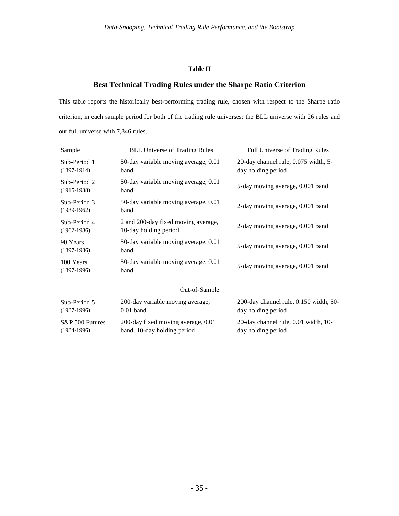#### **Table II**

## **Best Technical Trading Rules under the Sharpe Ratio Criterion**

This table reports the historically best-performing trading rule, chosen with respect to the Sharpe ratio criterion, in each sample period for both of the trading rule universes: the BLL universe with 26 rules and our full universe with 7,846 rules.

| Sample                           | <b>BLL Universe of Trading Rules</b>                              | Full Universe of Trading Rules                               |  |  |  |
|----------------------------------|-------------------------------------------------------------------|--------------------------------------------------------------|--|--|--|
| Sub-Period 1<br>$(1897-1914)$    | 50-day variable moving average, 0.01<br>band                      | 20-day channel rule, 0.075 width, 5-<br>day holding period   |  |  |  |
| Sub-Period 2<br>$(1915-1938)$    | 50-day variable moving average, 0.01<br>band                      | 5-day moving average, 0.001 band                             |  |  |  |
| Sub-Period 3<br>$(1939-1962)$    | 50-day variable moving average, 0.01<br>band                      | 2-day moving average, 0.001 band                             |  |  |  |
| Sub-Period 4<br>$(1962 - 1986)$  | 2 and 200-day fixed moving average,<br>10-day holding period      | 2-day moving average, 0.001 band                             |  |  |  |
| 90 Years<br>$(1897-1986)$        | 50-day variable moving average, 0.01<br>band                      | 5-day moving average, 0.001 band                             |  |  |  |
| 100 Years<br>$(1897-1996)$       | 50-day variable moving average, 0.01<br>band                      | 5-day moving average, 0.001 band                             |  |  |  |
| Out-of-Sample                    |                                                                   |                                                              |  |  |  |
| Sub-Period 5<br>$(1987-1996)$    | 200-day variable moving average,<br>$0.01$ band                   | 200-day channel rule, 0.150 width, 50-<br>day holding period |  |  |  |
| S&P 500 Futures<br>$(1984-1996)$ | 200-day fixed moving average, 0.01<br>band, 10-day holding period | 20-day channel rule, 0.01 width, 10-<br>day holding period   |  |  |  |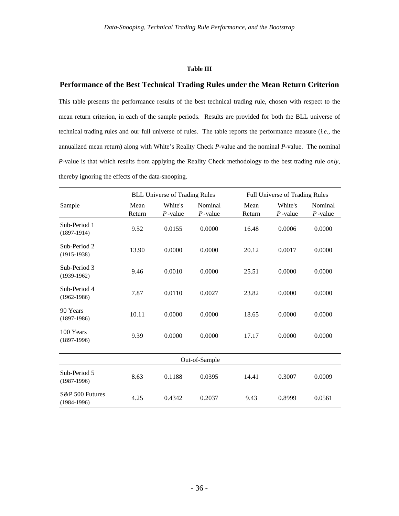#### **Table III**

#### **Performance of the Best Technical Trading Rules under the Mean Return Criterion**

This table presents the performance results of the best technical trading rule, chosen with respect to the mean return criterion, in each of the sample periods. Results are provided for both the BLL universe of technical trading rules and our full universe of rules. The table reports the performance measure (*i.e.*, the annualized mean return) along with White's Reality Check *P*-value and the nominal *P*-value. The nominal *P*-value is that which results from applying the Reality Check methodology to the best trading rule *only*, thereby ignoring the effects of the data-snooping.

|                                  |        | <b>BLL Universe of Trading Rules</b> |            | Full Universe of Trading Rules |            |            |
|----------------------------------|--------|--------------------------------------|------------|--------------------------------|------------|------------|
| Sample                           | Mean   | White's                              | Nominal    | Mean                           | White's    | Nominal    |
|                                  | Return | $P$ -value                           | $P$ -value | Return                         | $P$ -value | $P$ -value |
| Sub-Period 1<br>$(1897-1914)$    | 9.52   | 0.0155                               | 0.0000     | 16.48                          | 0.0006     | 0.0000     |
| Sub-Period 2<br>$(1915-1938)$    | 13.90  | 0.0000                               | 0.0000     | 20.12                          | 0.0017     | 0.0000     |
| Sub-Period 3<br>$(1939-1962)$    | 9.46   | 0.0010                               | 0.0000     | 25.51                          | 0.0000     | 0.0000     |
| Sub-Period 4<br>$(1962 - 1986)$  | 7.87   | 0.0110                               | 0.0027     | 23.82                          | 0.0000     | 0.0000     |
| 90 Years<br>$(1897-1986)$        | 10.11  | 0.0000                               | 0.0000     | 18.65                          | 0.0000     | 0.0000     |
| 100 Years<br>$(1897-1996)$       | 9.39   | 0.0000                               | 0.0000     | 17.17                          | 0.0000     | 0.0000     |
| Out-of-Sample                    |        |                                      |            |                                |            |            |
| Sub-Period 5<br>$(1987-1996)$    | 8.63   | 0.1188                               | 0.0395     | 14.41                          | 0.3007     | 0.0009     |
| S&P 500 Futures<br>$(1984-1996)$ | 4.25   | 0.4342                               | 0.2037     | 9.43                           | 0.8999     | 0.0561     |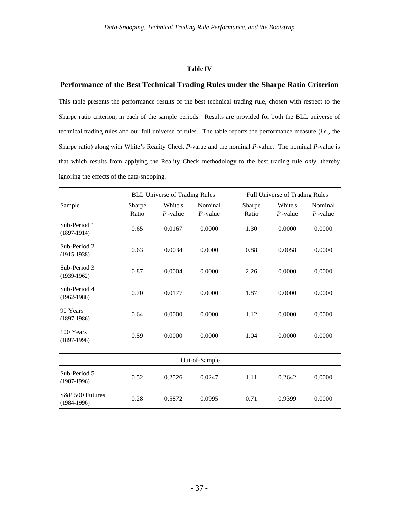#### **Table IV**

#### **Performance of the Best Technical Trading Rules under the Sharpe Ratio Criterion**

This table presents the performance results of the best technical trading rule, chosen with respect to the Sharpe ratio criterion, in each of the sample periods. Results are provided for both the BLL universe of technical trading rules and our full universe of rules. The table reports the performance measure (*i.e.*, the Sharpe ratio) along with White's Reality Check *P*-value and the nominal *P*-value. The nominal *P*-value is that which results from applying the Reality Check methodology to the best trading rule *only*, thereby ignoring the effects of the data-snooping.

|                                  |        | <b>BLL Universe of Trading Rules</b> |            | Full Universe of Trading Rules |            |            |
|----------------------------------|--------|--------------------------------------|------------|--------------------------------|------------|------------|
| Sample                           | Sharpe | White's                              | Nominal    | Sharpe                         | White's    | Nominal    |
|                                  | Ratio  | $P$ -value                           | $P$ -value | Ratio                          | $P$ -value | $P$ -value |
| Sub-Period 1<br>$(1897-1914)$    | 0.65   | 0.0167                               | 0.0000     | 1.30                           | 0.0000     | 0.0000     |
| Sub-Period 2<br>$(1915-1938)$    | 0.63   | 0.0034                               | 0.0000     | 0.88                           | 0.0058     | 0.0000     |
| Sub-Period 3<br>$(1939-1962)$    | 0.87   | 0.0004                               | 0.0000     | 2.26                           | 0.0000     | 0.0000     |
| Sub-Period 4<br>$(1962 - 1986)$  | 0.70   | 0.0177                               | 0.0000     | 1.87                           | 0.0000     | 0.0000     |
| 90 Years<br>$(1897-1986)$        | 0.64   | 0.0000                               | 0.0000     | 1.12                           | 0.0000     | 0.0000     |
| 100 Years<br>$(1897-1996)$       | 0.59   | 0.0000                               | 0.0000     | 1.04                           | 0.0000     | 0.0000     |
| Out-of-Sample                    |        |                                      |            |                                |            |            |
| Sub-Period 5<br>$(1987-1996)$    | 0.52   | 0.2526                               | 0.0247     | 1.11                           | 0.2642     | 0.0000     |
| S&P 500 Futures<br>$(1984-1996)$ | 0.28   | 0.5872                               | 0.0995     | 0.71                           | 0.9399     | 0.0000     |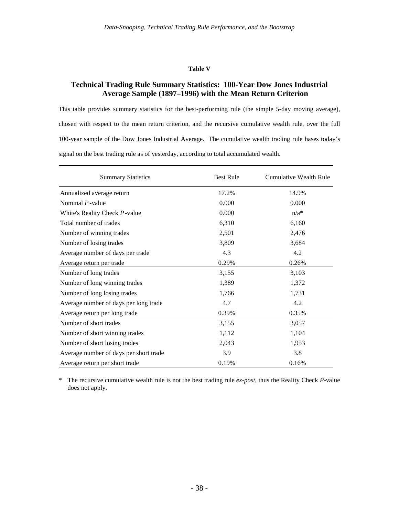#### **Table V**

#### **Technical Trading Rule Summary Statistics: 100-Year Dow Jones Industrial Average Sample (1897–1996) with the Mean Return Criterion**

This table provides summary statistics for the best-performing rule (the simple 5-day moving average), chosen with respect to the mean return criterion, and the recursive cumulative wealth rule, over the full 100-year sample of the Dow Jones Industrial Average. The cumulative wealth trading rule bases today's signal on the best trading rule as of yesterday, according to total accumulated wealth.

| <b>Summary Statistics</b>              | <b>Best Rule</b> | <b>Cumulative Wealth Rule</b> |
|----------------------------------------|------------------|-------------------------------|
| Annualized average return              | 17.2%            | 14.9%                         |
| Nominal P-value                        | 0.000            | 0.000                         |
| White's Reality Check P-value          | 0.000            | $n/a^*$                       |
| Total number of trades                 | 6,310            | 6,160                         |
| Number of winning trades               | 2,501            | 2,476                         |
| Number of losing trades                | 3,809            | 3,684                         |
| Average number of days per trade       | 4.3              | 4.2                           |
| Average return per trade               | 0.29%            | 0.26%                         |
| Number of long trades                  | 3,155            | 3,103                         |
| Number of long winning trades          | 1,389            | 1,372                         |
| Number of long losing trades           | 1,766            | 1,731                         |
| Average number of days per long trade  | 4.7              | 4.2                           |
| Average return per long trade          | 0.39%            | 0.35%                         |
| Number of short trades                 | 3,155            | 3,057                         |
| Number of short winning trades         | 1,112            | 1,104                         |
| Number of short losing trades          | 2,043            | 1,953                         |
| Average number of days per short trade | 3.9              | 3.8                           |
| Average return per short trade         | 0.19%            | 0.16%                         |

\* The recursive cumulative wealth rule is not the best trading rule *ex-post*, thus the Reality Check *P*-value does not apply.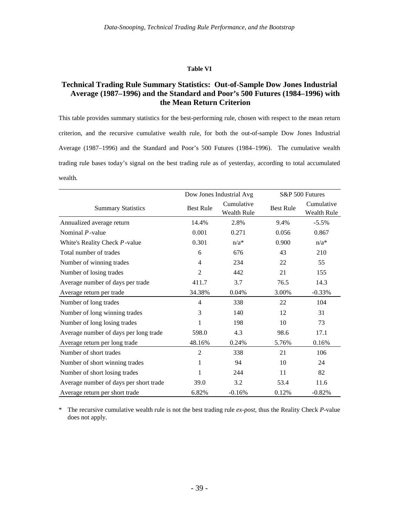#### **Table VI**

### **Technical Trading Rule Summary Statistics: Out-of-Sample Dow Jones Industrial Average (1987–1996) and the Standard and Poor's 500 Futures (1984–1996) with the Mean Return Criterion**

This table provides summary statistics for the best-performing rule, chosen with respect to the mean return criterion, and the recursive cumulative wealth rule, for both the out-of-sample Dow Jones Industrial Average (1987–1996) and the Standard and Poor's 500 Futures (1984–1996). The cumulative wealth trading rule bases today's signal on the best trading rule as of yesterday, according to total accumulated wealth.

|                                        |                  | Dow Jones Industrial Avg  |                  | S&P 500 Futures           |  |
|----------------------------------------|------------------|---------------------------|------------------|---------------------------|--|
| <b>Summary Statistics</b>              | <b>Best Rule</b> | Cumulative<br>Wealth Rule | <b>Best Rule</b> | Cumulative<br>Wealth Rule |  |
| Annualized average return              | 14.4%            | 2.8%                      | 9.4%             | $-5.5%$                   |  |
| Nominal $P$ -value                     | 0.001            | 0.271                     | 0.056            | 0.867                     |  |
| White's Reality Check P-value          | 0.301            | $n/a^*$                   | 0.900            | $n/a^*$                   |  |
| Total number of trades                 | 6                | 676                       | 43               | 210                       |  |
| Number of winning trades               | 4                | 234                       | 22               | 55                        |  |
| Number of losing trades                | $\overline{2}$   | 442                       | 21               | 155                       |  |
| Average number of days per trade       | 411.7            | 3.7                       | 76.5             | 14.3                      |  |
| Average return per trade               | 34.38%           | 0.04%                     | 3.00%            | $-0.33%$                  |  |
| Number of long trades                  | 4                | 338                       | 22               | 104                       |  |
| Number of long winning trades          | 3                | 140                       | 12               | 31                        |  |
| Number of long losing trades           | 1                | 198                       | 10               | 73                        |  |
| Average number of days per long trade  | 598.0            | 4.3                       | 98.6             | 17.1                      |  |
| Average return per long trade          | 48.16%           | 0.24%                     | 5.76%            | 0.16%                     |  |
| Number of short trades                 | $\overline{2}$   | 338                       | 21               | 106                       |  |
| Number of short winning trades         | 1                | 94                        | 10               | 24                        |  |
| Number of short losing trades          | 1                | 244                       | 11               | 82                        |  |
| Average number of days per short trade | 39.0             | 3.2                       | 53.4             | 11.6                      |  |
| Average return per short trade         | 6.82%            | $-0.16%$                  | 0.12%            | $-0.82%$                  |  |

\* The recursive cumulative wealth rule is not the best trading rule *ex-post*, thus the Reality Check *P*-value does not apply.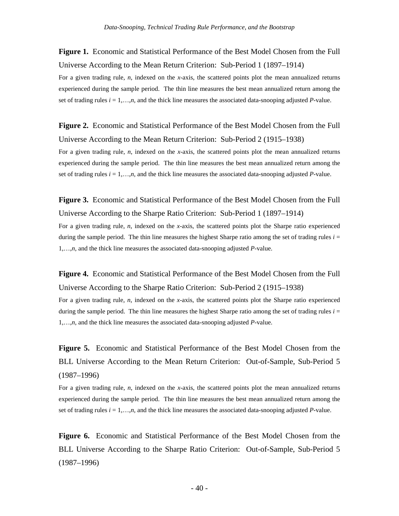# **Figure 1.** Economic and Statistical Performance of the Best Model Chosen from the Full Universe According to the Mean Return Criterion: Sub-Period 1 (1897–1914)

For a given trading rule, *n*, indexed on the *x*-axis, the scattered points plot the mean annualized returns experienced during the sample period. The thin line measures the best mean annualized return among the set of trading rules  $i = 1, \ldots, n$ , and the thick line measures the associated data-snooping adjusted *P*-value.

# **Figure 2.** Economic and Statistical Performance of the Best Model Chosen from the Full Universe According to the Mean Return Criterion: Sub-Period 2 (1915–1938)

For a given trading rule, *n*, indexed on the *x*-axis, the scattered points plot the mean annualized returns experienced during the sample period. The thin line measures the best mean annualized return among the set of trading rules  $i = 1, \ldots, n$ , and the thick line measures the associated data-snooping adjusted *P*-value.

# **Figure 3.** Economic and Statistical Performance of the Best Model Chosen from the Full Universe According to the Sharpe Ratio Criterion: Sub-Period 1 (1897–1914)

For a given trading rule, *n*, indexed on the *x*-axis, the scattered points plot the Sharpe ratio experienced during the sample period. The thin line measures the highest Sharpe ratio among the set of trading rules  $i =$ 1,…,*n*, and the thick line measures the associated data-snooping adjusted *P*-value.

# **Figure 4.** Economic and Statistical Performance of the Best Model Chosen from the Full Universe According to the Sharpe Ratio Criterion: Sub-Period 2 (1915–1938) For a given trading rule, *n*, indexed on the *x*-axis, the scattered points plot the Sharpe ratio experienced

during the sample period. The thin line measures the highest Sharpe ratio among the set of trading rules  $i =$ 1,…,*n*, and the thick line measures the associated data-snooping adjusted *P*-value.

**Figure 5.** Economic and Statistical Performance of the Best Model Chosen from the BLL Universe According to the Mean Return Criterion: Out-of-Sample, Sub-Period 5 (1987–1996)

For a given trading rule, *n*, indexed on the *x*-axis, the scattered points plot the mean annualized returns experienced during the sample period. The thin line measures the best mean annualized return among the set of trading rules  $i = 1, \ldots, n$ , and the thick line measures the associated data-snooping adjusted *P*-value.

**Figure 6.** Economic and Statistical Performance of the Best Model Chosen from the BLL Universe According to the Sharpe Ratio Criterion: Out-of-Sample, Sub-Period 5 (1987–1996)